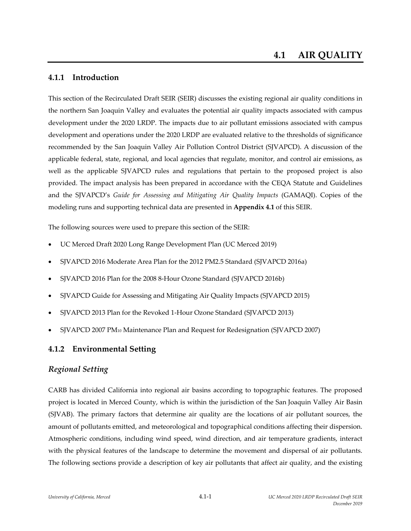# **4.1.1 Introduction**

This section of the Recirculated Draft SEIR (SEIR) discusses the existing regional air quality conditions in the northern San Joaquin Valley and evaluates the potential air quality impacts associated with campus development under the 2020 LRDP. The impacts due to air pollutant emissions associated with campus development and operations under the 2020 LRDP are evaluated relative to the thresholds of significance recommended by the San Joaquin Valley Air Pollution Control District (SJVAPCD). A discussion of the applicable federal, state, regional, and local agencies that regulate, monitor, and control air emissions, as well as the applicable SJVAPCD rules and regulations that pertain to the proposed project is also provided. The impact analysis has been prepared in accordance with the CEQA Statute and Guidelines and the SJVAPCD's *Guide for Assessing and Mitigating Air Quality Impacts* (GAMAQI). Copies of the modeling runs and supporting technical data are presented in **Appendix 4.1** of this SEIR.

The following sources were used to prepare this section of the SEIR:

- UC Merced Draft 2020 Long Range Development Plan (UC Merced 2019)
- SJVAPCD 2016 Moderate Area Plan for the 2012 PM2.5 Standard (SJVAPCD 2016a)
- SJVAPCD 2016 Plan for the 2008 8‐Hour Ozone Standard (SJVAPCD 2016b)
- SJVAPCD Guide for Assessing and Mitigating Air Quality Impacts (SJVAPCD 2015)
- SJVAPCD 2013 Plan for the Revoked 1‐Hour Ozone Standard (SJVAPCD 2013)
- SJVAPCD 2007 PM10 Maintenance Plan and Request for Redesignation (SJVAPCD 2007)

# **4.1.2 Environmental Setting**

# *Regional Setting*

CARB has divided California into regional air basins according to topographic features. The proposed project is located in Merced County, which is within the jurisdiction of the San Joaquin Valley Air Basin (SJVAB). The primary factors that determine air quality are the locations of air pollutant sources, the amount of pollutants emitted, and meteorological and topographical conditions affecting their dispersion. Atmospheric conditions, including wind speed, wind direction, and air temperature gradients, interact with the physical features of the landscape to determine the movement and dispersal of air pollutants. The following sections provide a description of key air pollutants that affect air quality, and the existing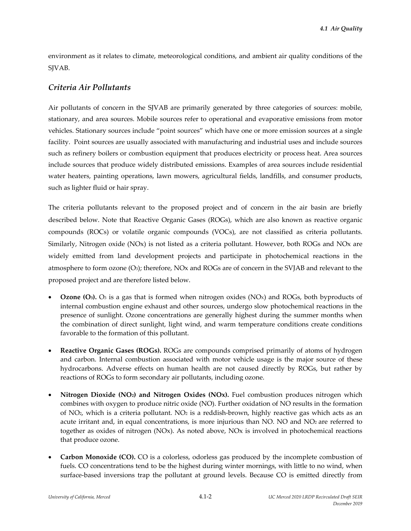environment as it relates to climate, meteorological conditions, and ambient air quality conditions of the SJVAB.

# *Criteria Air Pollutants*

Air pollutants of concern in the SJVAB are primarily generated by three categories of sources: mobile, stationary, and area sources. Mobile sources refer to operational and evaporative emissions from motor vehicles. Stationary sources include "point sources" which have one or more emission sources at a single facility. Point sources are usually associated with manufacturing and industrial uses and include sources such as refinery boilers or combustion equipment that produces electricity or process heat. Area sources include sources that produce widely distributed emissions. Examples of area sources include residential water heaters, painting operations, lawn mowers, agricultural fields, landfills, and consumer products, such as lighter fluid or hair spray.

The criteria pollutants relevant to the proposed project and of concern in the air basin are briefly described below. Note that Reactive Organic Gases (ROGs), which are also known as reactive organic compounds (ROCs) or volatile organic compounds (VOCs), are not classified as criteria pollutants. Similarly, Nitrogen oxide (NOx) is not listed as a criteria pollutant. However, both ROGs and NOx are widely emitted from land development projects and participate in photochemical reactions in the atmosphere to form ozone  $(O_3)$ ; therefore, NOx and ROGs are of concern in the SVJAB and relevant to the proposed project and are therefore listed below.

- **Ozone**  $(O_3)$ .  $O_3$  is a gas that is formed when nitrogen oxides (NOx) and ROGs, both byproducts of internal combustion engine exhaust and other sources, undergo slow photochemical reactions in the presence of sunlight. Ozone concentrations are generally highest during the summer months when the combination of direct sunlight, light wind, and warm temperature conditions create conditions favorable to the formation of this pollutant.
- **Reactive Organic Gases (ROGs).** ROGs are compounds comprised primarily of atoms of hydrogen and carbon. Internal combustion associated with motor vehicle usage is the major source of these hydrocarbons. Adverse effects on human health are not caused directly by ROGs, but rather by reactions of ROGs to form secondary air pollutants, including ozone.
- **Nitrogen Dioxide (NO2) and Nitrogen Oxides (NOx).** Fuel combustion produces nitrogen which combines with oxygen to produce nitric oxide (NO). Further oxidation of NO results in the formation of NO<sub>2</sub>, which is a criteria pollutant. NO<sub>2</sub> is a reddish-brown, highly reactive gas which acts as an acute irritant and, in equal concentrations, is more injurious than NO. NO and NO2 are referred to together as oxides of nitrogen (NOx). As noted above, NOx is involved in photochemical reactions that produce ozone.
- **Carbon Monoxide (CO).** CO is a colorless, odorless gas produced by the incomplete combustion of fuels. CO concentrations tend to be the highest during winter mornings, with little to no wind, when surface-based inversions trap the pollutant at ground levels. Because CO is emitted directly from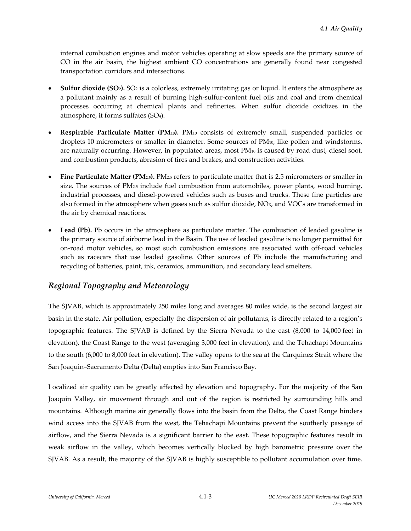internal combustion engines and motor vehicles operating at slow speeds are the primary source of CO in the air basin, the highest ambient CO concentrations are generally found near congested transportation corridors and intersections.

- **Sulfur dioxide (SO<sub>2</sub>).** SO<sub>2</sub> is a colorless, extremely irritating gas or liquid. It enters the atmosphere as a pollutant mainly as a result of burning high‐sulfur‐content fuel oils and coal and from chemical processes occurring at chemical plants and refineries. When sulfur dioxide oxidizes in the atmosphere, it forms sulfates (SO4).
- **Respirable Particulate Matter (PM10).** PM10 consists of extremely small, suspended particles or droplets 10 micrometers or smaller in diameter. Some sources of PM10, like pollen and windstorms, are naturally occurring. However, in populated areas, most PM10 is caused by road dust, diesel soot, and combustion products, abrasion of tires and brakes, and construction activities.
- **Fine Particulate Matter (PM2.5).** PM2.5 refers to particulate matter that is 2.5 micrometers or smaller in size. The sources of  $PM_{2.5}$  include fuel combustion from automobiles, power plants, wood burning, industrial processes, and diesel‐powered vehicles such as buses and trucks. These fine particles are also formed in the atmosphere when gases such as sulfur dioxide, NO<sub>x</sub>, and VOCs are transformed in the air by chemical reactions.
- **Lead (Pb).** Pb occurs in the atmosphere as particulate matter. The combustion of leaded gasoline is the primary source of airborne lead in the Basin. The use of leaded gasoline is no longer permitted for on‐road motor vehicles, so most such combustion emissions are associated with off‐road vehicles such as racecars that use leaded gasoline. Other sources of Pb include the manufacturing and recycling of batteries, paint, ink, ceramics, ammunition, and secondary lead smelters.

# *Regional Topography and Meteorology*

The SJVAB, which is approximately 250 miles long and averages 80 miles wide, is the second largest air basin in the state. Air pollution, especially the dispersion of air pollutants, is directly related to a region's topographic features. The SJVAB is defined by the Sierra Nevada to the east (8,000 to 14,000 feet in elevation), the Coast Range to the west (averaging 3,000 feet in elevation), and the Tehachapi Mountains to the south (6,000 to 8,000 feet in elevation). The valley opens to the sea at the Carquinez Strait where the San Joaquin–Sacramento Delta (Delta) empties into San Francisco Bay.

Localized air quality can be greatly affected by elevation and topography. For the majority of the San Joaquin Valley, air movement through and out of the region is restricted by surrounding hills and mountains. Although marine air generally flows into the basin from the Delta, the Coast Range hinders wind access into the SJVAB from the west, the Tehachapi Mountains prevent the southerly passage of airflow, and the Sierra Nevada is a significant barrier to the east. These topographic features result in weak airflow in the valley, which becomes vertically blocked by high barometric pressure over the SJVAB. As a result, the majority of the SJVAB is highly susceptible to pollutant accumulation over time.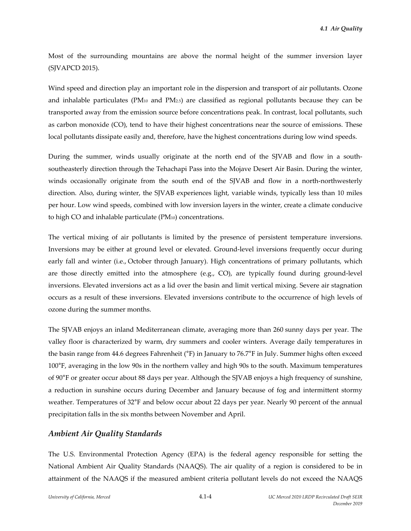Most of the surrounding mountains are above the normal height of the summer inversion layer (SJVAPCD 2015).

Wind speed and direction play an important role in the dispersion and transport of air pollutants. Ozone and inhalable particulates ( $PM<sub>10</sub>$  and  $PM<sub>2.5</sub>$ ) are classified as regional pollutants because they can be transported away from the emission source before concentrations peak. In contrast, local pollutants, such as carbon monoxide (CO), tend to have their highest concentrations near the source of emissions. These local pollutants dissipate easily and, therefore, have the highest concentrations during low wind speeds.

During the summer, winds usually originate at the north end of the SJVAB and flow in a south‐ southeasterly direction through the Tehachapi Pass into the Mojave Desert Air Basin. During the winter, winds occasionally originate from the south end of the SJVAB and flow in a north-northwesterly direction. Also, during winter, the SJVAB experiences light, variable winds, typically less than 10 miles per hour. Low wind speeds, combined with low inversion layers in the winter, create a climate conducive to high CO and inhalable particulate (PM10) concentrations.

The vertical mixing of air pollutants is limited by the presence of persistent temperature inversions. Inversions may be either at ground level or elevated. Ground‐level inversions frequently occur during early fall and winter (i.e., October through January). High concentrations of primary pollutants, which are those directly emitted into the atmosphere (e.g.,  $CO$ ), are typically found during ground-level inversions. Elevated inversions act as a lid over the basin and limit vertical mixing. Severe air stagnation occurs as a result of these inversions. Elevated inversions contribute to the occurrence of high levels of ozone during the summer months.

The SJVAB enjoys an inland Mediterranean climate, averaging more than 260 sunny days per year. The valley floor is characterized by warm, dry summers and cooler winters. Average daily temperatures in the basin range from 44.6 degrees Fahrenheit (°F) in January to 76.7°F in July. Summer highs often exceed 100°F, averaging in the low 90s in the northern valley and high 90s to the south. Maximum temperatures of 90°F or greater occur about 88 days per year. Although the SJVAB enjoys a high frequency of sunshine, a reduction in sunshine occurs during December and January because of fog and intermittent stormy weather. Temperatures of 32°F and below occur about 22 days per year. Nearly 90 percent of the annual precipitation falls in the six months between November and April.

# *Ambient Air Quality Standards*

The U.S. Environmental Protection Agency (EPA) is the federal agency responsible for setting the National Ambient Air Quality Standards (NAAQS). The air quality of a region is considered to be in attainment of the NAAQS if the measured ambient criteria pollutant levels do not exceed the NAAQS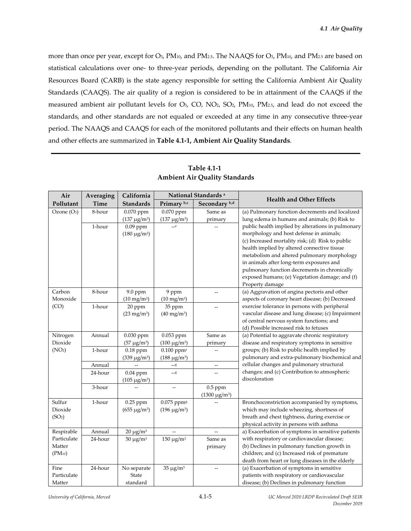more than once per year, except for O3, PM10, and PM2.5. The NAAQS for O3, PM10, and PM2.5 are based on statistical calculations over one‐ to three‐year periods, depending on the pollutant. The California Air Resources Board (CARB) is the state agency responsible for setting the California Ambient Air Quality Standards (CAAQS). The air quality of a region is considered to be in attainment of the CAAQS if the measured ambient air pollutant levels for O3, CO, NO2, SO2, PM10, PM2.5, and lead do not exceed the standards, and other standards are not equaled or exceeded at any time in any consecutive three‐year period. The NAAQS and CAAQS for each of the monitored pollutants and their effects on human health and other effects are summarized in **Table 4.1‐1, Ambient Air Quality Standards**.

| Air                     | Averaging   | California             | National Standards <sup>a</sup> |                      | <b>Health and Other Effects</b>                   |  |
|-------------------------|-------------|------------------------|---------------------------------|----------------------|---------------------------------------------------|--|
| Pollutant               | <b>Time</b> | <b>Standards</b>       | Primary b,c                     | Secondary b,d        |                                                   |  |
| Ozone (O <sub>3</sub> ) | 8-hour      | 0.070 ppm              | 0.070 ppm                       | Same as              | (a) Pulmonary function decrements and localized   |  |
|                         |             | $(137 \,\mu g/m^3)$    | $(137 \,\mu g/m^3)$             | primary              | lung edema in humans and animals; (b) Risk to     |  |
|                         | 1-hour      | $0.09$ ppm             | e                               |                      | public health implied by alterations in pulmonary |  |
|                         |             | $(180 \mu g/m^3)$      |                                 |                      | morphology and host defense in animals;           |  |
|                         |             |                        |                                 |                      | (c) Increased mortality risk; (d) Risk to public  |  |
|                         |             |                        |                                 |                      | health implied by altered connective tissue       |  |
|                         |             |                        |                                 |                      | metabolism and altered pulmonary morphology       |  |
|                         |             |                        |                                 |                      | in animals after long-term exposures and          |  |
|                         |             |                        |                                 |                      | pulmonary function decrements in chronically      |  |
|                         |             |                        |                                 |                      | exposed humans; (e) Vegetation damage; and (f)    |  |
|                         |             |                        |                                 |                      | Property damage                                   |  |
| Carbon                  | 8-hour      | 9.0 ppm                | 9 ppm                           |                      | (a) Aggravation of angina pectoris and other      |  |
| Monoxide                |             | $(10 \text{ mg/m}^3)$  | $(10 \text{ mg/m}^3)$           |                      | aspects of coronary heart disease; (b) Decreased  |  |
| (CO)                    | 1-hour      | 20 ppm                 | 35 ppm                          |                      | exercise tolerance in persons with peripheral     |  |
|                         |             | $(23 \text{ mg/m}^3)$  | $(40 \text{ mg/m}^3)$           |                      | vascular disease and lung disease; (c) Impairment |  |
|                         |             |                        |                                 |                      | of central nervous system functions; and          |  |
|                         |             |                        |                                 |                      | (d) Possible increased risk to fetuses            |  |
| Nitrogen                | Annual      | 0.030 ppm              | 0.053 ppm                       | Same as              | (a) Potential to aggravate chronic respiratory    |  |
| Dioxide                 |             | $(57 \,\mu g/m^3)$     | $(100 \mu g/m^3)$               | primary              | disease and respiratory symptoms in sensitive     |  |
| (NO <sub>2</sub> )      | 1-hour      | 0.18 ppm               | $0.100$ ppm <sup>f</sup>        |                      | groups; (b) Risk to public health implied by      |  |
|                         |             | $(339 \text{ µg/m}^3)$ | $(188 \text{ µg/m}^3)$          |                      | pulmonary and extra-pulmonary biochemical and     |  |
|                         | Annual      |                        | $\texttt{--g}$                  |                      | cellular changes and pulmonary structural         |  |
|                         | 24-hour     | $0.04$ ppm             | $-$ g                           |                      | changes; and (c) Contribution to atmospheric      |  |
|                         |             | $(105 \,\mu g/m^3)$    |                                 |                      | discoloration                                     |  |
|                         | 3-hour      |                        | $\overline{a}$                  | 0.5 ppm              |                                                   |  |
|                         |             |                        |                                 | $(1300 \ \mu g/m^3)$ |                                                   |  |
| Sulfur                  | 1-hour      | 0.25 ppm               | 0.075 ppm <sup>g</sup>          |                      | Bronchoconstriction accompanied by symptoms,      |  |
| Dioxide                 |             | $(655 \mu g/m^3)$      | $(196 \mu g/m^3)$               |                      | which may include wheezing, shortness of          |  |
| (SO <sub>2</sub> )      |             |                        |                                 |                      | breath and chest tightness, during exercise or    |  |
|                         |             |                        |                                 |                      | physical activity in persons with asthma          |  |
| Respirable              | Annual      | $20 \mu g/m^3$         |                                 |                      | a) Exacerbation of symptoms in sensitive patients |  |
| Particulate             | 24-hour     | $50 \mu g/m^3$         | $150 \mu g/m^3$                 | Same as              | with respiratory or cardiovascular disease;       |  |
| Matter                  |             |                        |                                 | primary              | (b) Declines in pulmonary function growth in      |  |
| $(PM_{10})$             |             |                        |                                 |                      | children; and (c) Increased risk of premature     |  |
|                         |             |                        |                                 |                      | death from heart or lung diseases in the elderly  |  |
| Fine                    | 24-hour     | No separate            | $35 \mu g/m^3$                  |                      | (a) Exacerbation of symptoms in sensitive         |  |
| Particulate             |             | State                  |                                 |                      | patients with respiratory or cardiovascular       |  |
| Matter                  |             | standard               |                                 |                      | disease; (b) Declines in pulmonary function       |  |

**Table 4.1‐1 Ambient Air Quality Standards**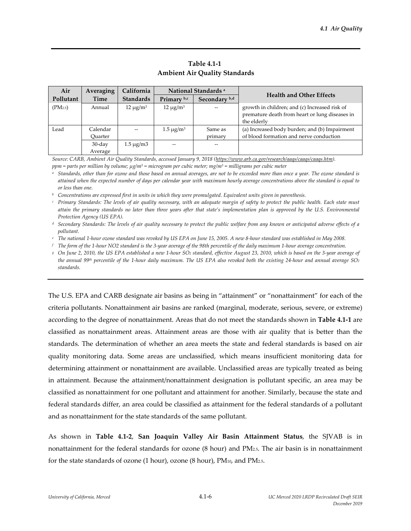## **Table 4.1‐1 Ambient Air Quality Standards**

| Air          | Averaging   | California        | National Standards <sup>a</sup> |               | <b>Health and Other Effects</b>                |
|--------------|-------------|-------------------|---------------------------------|---------------|------------------------------------------------|
| Pollutant    | <b>Time</b> | <b>Standards</b>  | Primary b,c                     | Secondary b,d |                                                |
| $(PM_{2.5})$ | Annual      | $12 \mu g/m^3$    | $12 \mu g/m^3$                  |               | growth in children; and (c) Increased risk of  |
|              |             |                   |                                 |               | premature death from heart or lung diseases in |
|              |             |                   |                                 |               | the elderly                                    |
| Lead         | Calendar    |                   | $1.5 \mu$ g/m <sup>3</sup>      | Same as       | (a) Increased body burden; and (b) Impairment  |
|              | Ouarter     |                   |                                 | primary       | of blood formation and nerve conduction        |
|              | $30$ -day   | $1.5 \mu$ g/m $3$ |                                 | $- -$         |                                                |
|              | Average     |                   |                                 |               |                                                |

*Source: CARB, Ambient Air Quality Standards, accessed January 9, 2018 (https://www.arb.ca.gov/research/aaqs/caaqs/caaqs.htm).* ppm = parts per million by volume;  $\mu g/m^3$  = microgram per cubic meter;  $m g/m^3$  = milligrams per cubic meter

a Standards, other than for ozone and those based on annual averages, are not to be exceeded more than once a year. The ozone standard is attained when the expected number of days per calendar year with maximum hourly average concentrations above the standard is equal to *or less than one.*

 $b$  Concentrations are expressed first in units in which they were promulgated. Equivalent units given in parenthesis.

Primary Standards: The levels of air quality necessary, with an adequate margin of safety to protect the public health. Each state must attain the primary standards no later than three years after that state's implementation plan is approved by the U.S. Environmental *Protection Agency (US EPA).*

<sup>d</sup> Secondary Standards: The levels of air quality necessary to protect the public welfare from any known or anticipated adverse effects of a *pollutant.*

<sup>e</sup> The national 1-hour ozone standard was revoked by US EPA on June 15, 2005. A new 8-hour standard was established in May 2008.

 $f$  The form of the 1-hour NO2 standard is the 3-year average of the 98th percentile of the daily maximum 1-hour average concentration.

8 On June 2, 2010, the US EPA established a new 1-hour SO<sub>2</sub> standard, effective August 23, 2010, which is based on the 3-year average of the annual 99<sup>th</sup> percentile of the 1-hour daily maximum. The US EPA also revoked both the existing 24-hour and annual average  $SO_2$ *standards.*

The U.S. EPA and CARB designate air basins as being in "attainment" or "nonattainment" for each of the criteria pollutants. Nonattainment air basins are ranked (marginal, moderate, serious, severe, or extreme) according to the degree of nonattainment. Areas that do not meet the standards shown in **Table 4.1‐1** are classified as nonattainment areas. Attainment areas are those with air quality that is better than the standards. The determination of whether an area meets the state and federal standards is based on air quality monitoring data. Some areas are unclassified, which means insufficient monitoring data for determining attainment or nonattainment are available. Unclassified areas are typically treated as being in attainment. Because the attainment/nonattainment designation is pollutant specific, an area may be classified as nonattainment for one pollutant and attainment for another. Similarly, because the state and federal standards differ, an area could be classified as attainment for the federal standards of a pollutant and as nonattainment for the state standards of the same pollutant.

As shown in **Table 4.1‐2**, **San Joaquin Valley Air Basin Attainment Status**, the SJVAB is in nonattainment for the federal standards for ozone (8 hour) and PM2.5. The air basin is in nonattainment for the state standards of ozone (1 hour), ozone (8 hour), PM10, and PM2.5.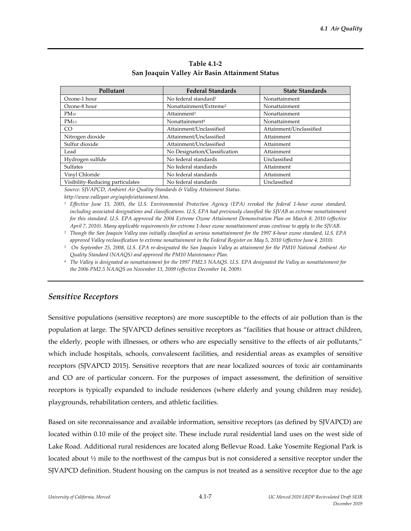| Pollutant                        | <b>Federal Standards</b>           | <b>State Standards</b>  |
|----------------------------------|------------------------------------|-------------------------|
| Ozone-1 hour                     | No federal standard <sup>1</sup>   | Nonattainment           |
| Ozone-8 hour                     | Nonattainment/Extreme <sup>2</sup> | Nonattainment           |
| $PM_{10}$                        | Attainment <sup>3</sup>            | Nonattainment           |
| PM <sub>2.5</sub>                | Nonattainment <sup>4</sup>         | Nonattainment           |
| CO                               | Attainment/Unclassified            | Attainment/Unclassified |
| Nitrogen dioxide                 | Attainment/Unclassified            | Attainment              |
| Sulfur dioxide                   | Attainment/Unclassified            | Attainment              |
| Lead                             | No Designation/Classification      | Attainment              |
| Hydrogen sulfide                 | No federal standards               | Unclassified            |
| <b>Sulfates</b>                  | No federal standards               | Attainment              |
| Vinyl Chloride                   | No federal standards               | Attainment              |
| Visibility-Reducing particulates | No federal standards               | Unclassified            |

**Table 4.1‐2 San Joaquin Valley Air Basin Attainment Status**

*Source: SJVAPCD, Ambient Air Quality Standards & Valley Attainment Status. http://www.valleyair.org/aqinfo/attainment.htm.*

<sup>1</sup> Effective June 15, 2005, the U.S. Environmental Protection Agency (EPA) revoked the federal 1-hour ozone standard, including associated designations and classifications. U.S, EPA had previously classified the SJVAB as extreme nonattainment for this standard. U.S. EPA approved the 2004 Extreme Ozone Attainment Demonstration Plan on March 8, 2010 (effective April 7, 2010). Many applicable requirements for extreme 1-hour ozone nonattainment areas continue to apply to the SJVAB.

<sup>2</sup> Though the San Joaquin Valley was initially classified as serious nonattainment for the 1997 8-hour ozone standard, U.S. EPA approved Valley reclassification to extreme nonattainment in the Federal Register on May 5, 2010 (effective June 4, 2010).

<sup>3</sup> On September 25, 2008, U.S. EPA re-designated the San Joaquin Valley as attainment for the PM10 National Ambient Air *Quality Standard (NAAQS) and approved the PM10 Maintenance Plan.*

<sup>4</sup> The Valley is designated as nonattainment for the 1997 PM2.5 NAAQS. U.S. EPA designated the Valley as nonattainment for *the 2006 PM2.5 NAAQS on November 13, 2009 (effective December 14, 2009).*

# *Sensitive Receptors*

Sensitive populations (sensitive receptors) are more susceptible to the effects of air pollution than is the population at large. The SJVAPCD defines sensitive receptors as "facilities that house or attract children, the elderly, people with illnesses, or others who are especially sensitive to the effects of air pollutants," which include hospitals, schools, convalescent facilities, and residential areas as examples of sensitive receptors (SJVAPCD 2015). Sensitive receptors that are near localized sources of toxic air contaminants and CO are of particular concern. For the purposes of impact assessment, the definition of sensitive receptors is typically expanded to include residences (where elderly and young children may reside), playgrounds, rehabilitation centers, and athletic facilities.

Based on site reconnaissance and available information, sensitive receptors (as defined by SJVAPCD) are located within 0.10 mile of the project site. These include rural residential land uses on the west side of Lake Road. Additional rural residences are located along Bellevue Road. Lake Yosemite Regional Park is located about ½ mile to the northwest of the campus but is not considered a sensitive receptor under the SJVAPCD definition. Student housing on the campus is not treated as a sensitive receptor due to the age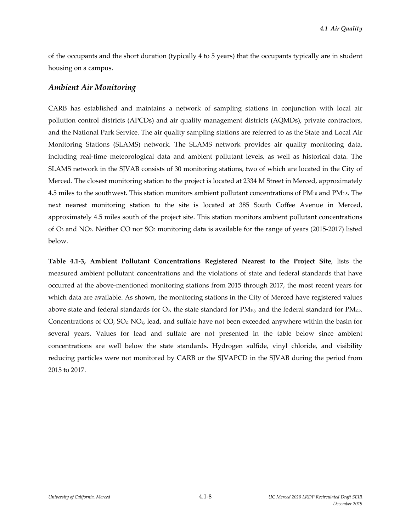of the occupants and the short duration (typically 4 to 5 years) that the occupants typically are in student housing on a campus.

#### *Ambient Air Monitoring*

CARB has established and maintains a network of sampling stations in conjunction with local air pollution control districts (APCDs) and air quality management districts (AQMDs), private contractors, and the National Park Service. The air quality sampling stations are referred to as the State and Local Air Monitoring Stations (SLAMS) network. The SLAMS network provides air quality monitoring data, including real‐time meteorological data and ambient pollutant levels, as well as historical data. The SLAMS network in the SJVAB consists of 30 monitoring stations, two of which are located in the City of Merced. The closest monitoring station to the project is located at 2334 M Street in Merced, approximately 4.5 miles to the southwest. This station monitors ambient pollutant concentrations of PM10 and PM2.5. The next nearest monitoring station to the site is located at 385 South Coffee Avenue in Merced, approximately 4.5 miles south of the project site. This station monitors ambient pollutant concentrations of O3 and NO2. Neither CO nor SO2 monitoring data is available for the range of years (2015‐2017) listed below.

**Table 4.1‐3, Ambient Pollutant Concentrations Registered Nearest to the Project Site**, lists the measured ambient pollutant concentrations and the violations of state and federal standards that have occurred at the above‐mentioned monitoring stations from 2015 through 2017, the most recent years for which data are available. As shown, the monitoring stations in the City of Merced have registered values above state and federal standards for O<sub>3</sub>, the state standard for PM<sub>10</sub>, and the federal standard for PM<sub>2.5</sub>. Concentrations of CO, SO2, NO2, lead, and sulfate have not been exceeded anywhere within the basin for several years. Values for lead and sulfate are not presented in the table below since ambient concentrations are well below the state standards. Hydrogen sulfide, vinyl chloride, and visibility reducing particles were not monitored by CARB or the SJVAPCD in the SJVAB during the period from 2015 to 2017.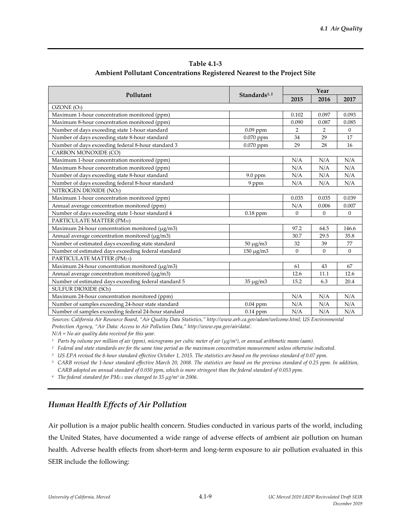| <b>Table 4.1-3</b>                                                      |  |
|-------------------------------------------------------------------------|--|
| Ambient Pollutant Concentrations Registered Nearest to the Project Site |  |

|                                                       |                          | Year           |              |                |  |
|-------------------------------------------------------|--------------------------|----------------|--------------|----------------|--|
| Pollutant                                             | Standards <sup>1,2</sup> | 2015           | 2016         | 2017           |  |
| OZONE (O3)                                            |                          |                |              |                |  |
| Maximum 1-hour concentration monitored (ppm)          |                          | 0.102          | 0.097        | 0.093          |  |
| Maximum 8-hour concentration monitored (ppm)          |                          | 0.090          | 0.087        | 0.085          |  |
| Number of days exceeding state 1-hour standard        | $0.09$ ppm               | 2              | 2            | $\mathbf{0}$   |  |
| Number of days exceeding state 8-hour standard        | 0.070 ppm                | 34             | 29           | 17             |  |
| Number of days exceeding federal 8-hour standard 3    | 0.070 ppm                | 29             | 28           | 16             |  |
| CARBON MONOXIDE (CO)                                  |                          |                |              |                |  |
| Maximum 1-hour concentration monitored (ppm)          |                          | N/A            | N/A          | N/A            |  |
| Maximum 8-hour concentration monitored (ppm)          |                          | N/A            | N/A          | N/A            |  |
| Number of days exceeding state 8-hour standard        | 9.0 ppm                  | N/A            | N/A          | N/A            |  |
| Number of days exceeding federal 8-hour standard      | 9 ppm                    | N/A            | N/A          | N/A            |  |
| NITROGEN DIOXIDE (NO2)                                |                          |                |              |                |  |
| Maximum 1-hour concentration monitored (ppm)          |                          | 0.035          | 0.035        | 0.039          |  |
| Annual average concentration monitored (ppm)          |                          | N/A            | 0.006        | 0.007          |  |
| Number of days exceeding state 1-hour standard 4      | $0.18$ ppm               | $\overline{0}$ | $\mathbf{0}$ | $\mathbf{0}$   |  |
| PARTICULATE MATTER (PM10)                             |                          |                |              |                |  |
| Maximum 24-hour concentration monitored (µg/m3)       |                          | 97.2           | 64.5         | 146.6          |  |
| Annual average concentration monitored (µg/m3)        |                          | 30.7           | 29.5         | 35.8           |  |
| Number of estimated days exceeding state standard     | $50 \mu g/m3$            | 32             | 39           | 77             |  |
| Number of estimated days exceeding federal standard   | $150 \mu g/m3$           | $\Omega$       | $\Omega$     | $\overline{0}$ |  |
| PARTICULATE MATTER (PM2.5)                            |                          |                |              |                |  |
| Maximum 24-hour concentration monitored (µg/m3)       |                          | 61             | 43           | 67             |  |
| Annual average concentration monitored (µg/m3)        |                          | 12.6           | 11.1         | 12.6           |  |
| Number of estimated days exceeding federal standard 5 | $35 \mu g/m3$            | 15.2           | 6.3          | 20.4           |  |
| <b>SULFUR DIOXIDE (SO2)</b>                           |                          |                |              |                |  |
| Maximum 24-hour concentration monitored (ppm)         |                          | N/A            | N/A          | N/A            |  |
| Number of samples exceeding 24-hour state standard    | $0.04$ ppm               | N/A            | N/A          | N/A            |  |
| Number of samples exceeding federal 24-hour standard  | $0.14$ ppm               | N/A            | N/A          | N/A            |  |

*Sources: California Air Resource Board, "Air Quality Data Statistics," http://www.arb.ca.gov/adam/welcome.html; US Environmental Protection Agency, "Air Data: Access to Air Pollution Data," http://www.epa.gov/air/data/.*

*N/A = No air quality data received for this year.*

<sup>1</sup> Parts by volume per million of air (ppm), micrograms per cubic meter of air ( $\mu$ g/m<sup>3</sup>), or annual arithmetic mean (aam).

 $^2$  Federal and state standards are for the same time period as the maximum concentration measurement unless otherwise indicated.

<sup>3</sup> US EPA revised the 8-hour standard effective October 1, 2015. The statistics are based on the previous standard of 0.07 ppm.

 $5$  CARB revised the 1-hour standard effective March 20, 2008. The statistics are based on the previous standard of 0.25 ppm. In addition, CARB adopted an annual standard of 0.030 ppm, which is more stringent than the federal standard of 0.053 ppm.

*<sup>6</sup> The federal standard for PM2.5 was changed to 35 μg/m3 in 2006.* 

# *Human Health Effects of Air Pollution*

Air pollution is a major public health concern. Studies conducted in various parts of the world, including the United States, have documented a wide range of adverse effects of ambient air pollution on human health. Adverse health effects from short-term and long-term exposure to air pollution evaluated in this SEIR include the following: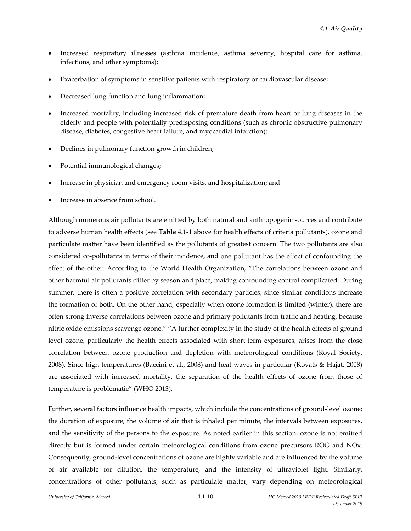- Increased respiratory illnesses (asthma incidence, asthma severity, hospital care for asthma, infections, and other symptoms);
- Exacerbation of symptoms in sensitive patients with respiratory or cardiovascular disease;
- Decreased lung function and lung inflammation;
- Increased mortality, including increased risk of premature death from heart or lung diseases in the elderly and people with potentially predisposing conditions (such as chronic obstructive pulmonary disease, diabetes, congestive heart failure, and myocardial infarction);
- Declines in pulmonary function growth in children;
- Potential immunological changes;
- Increase in physician and emergency room visits, and hospitalization; and
- Increase in absence from school.

Although numerous air pollutants are emitted by both natural and anthropogenic sources and contribute to adverse human health effects (see **Table 4.1‐1** above for health effects of criteria pollutants), ozone and particulate matter have been identified as the pollutants of greatest concern. The two pollutants are also considered co-pollutants in terms of their incidence, and one pollutant has the effect of confounding the effect of the other. According to the World Health Organization, "The correlations between ozone and other harmful air pollutants differ by season and place, making confounding control complicated. During summer, there is often a positive correlation with secondary particles, since similar conditions increase the formation of both. On the other hand, especially when ozone formation is limited (winter), there are often strong inverse correlations between ozone and primary pollutants from traffic and heating, because nitric oxide emissions scavenge ozone." "A further complexity in the study of the health effects of ground level ozone, particularly the health effects associated with short-term exposures, arises from the close correlation between ozone production and depletion with meteorological conditions (Royal Society, 2008). Since high temperatures (Baccini et al., 2008) and heat waves in particular (Kovats & Hajat, 2008) are associated with increased mortality, the separation of the health effects of ozone from those of temperature is problematic" (WHO 2013).

Further, several factors influence health impacts, which include the concentrations of ground-level ozone; the duration of exposure, the volume of air that is inhaled per minute, the intervals between exposures, and the sensitivity of the persons to the exposure. As noted earlier in this section, ozone is not emitted directly but is formed under certain meteorological conditions from ozone precursors ROG and NOx. Consequently, ground‐level concentrations of ozone are highly variable and are influenced by the volume of air available for dilution, the temperature, and the intensity of ultraviolet light. Similarly, concentrations of other pollutants, such as particulate matter, vary depending on meteorological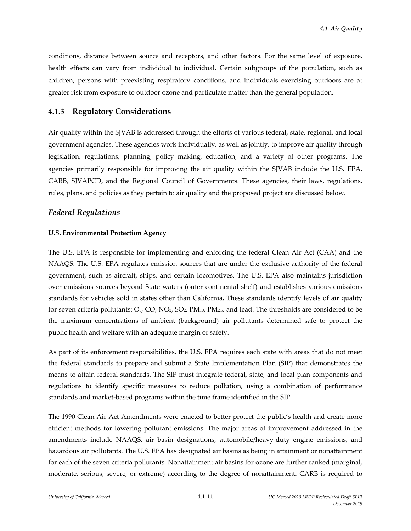conditions, distance between source and receptors, and other factors. For the same level of exposure, health effects can vary from individual to individual. Certain subgroups of the population, such as children, persons with preexisting respiratory conditions, and individuals exercising outdoors are at greater risk from exposure to outdoor ozone and particulate matter than the general population.

### **4.1.3 Regulatory Considerations**

Air quality within the SJVAB is addressed through the efforts of various federal, state, regional, and local government agencies. These agencies work individually, as well as jointly, to improve air quality through legislation, regulations, planning, policy making, education, and a variety of other programs. The agencies primarily responsible for improving the air quality within the SJVAB include the U.S. EPA, CARB, SJVAPCD, and the Regional Council of Governments. These agencies, their laws, regulations, rules, plans, and policies as they pertain to air quality and the proposed project are discussed below.

#### *Federal Regulations*

#### **U.S. Environmental Protection Agency**

The U.S. EPA is responsible for implementing and enforcing the federal Clean Air Act (CAA) and the NAAQS. The U.S. EPA regulates emission sources that are under the exclusive authority of the federal government, such as aircraft, ships, and certain locomotives. The U.S. EPA also maintains jurisdiction over emissions sources beyond State waters (outer continental shelf) and establishes various emissions standards for vehicles sold in states other than California. These standards identify levels of air quality for seven criteria pollutants: O3, CO, NO2, SO2, PM10, PM2.5, and lead. The thresholds are considered to be the maximum concentrations of ambient (background) air pollutants determined safe to protect the public health and welfare with an adequate margin of safety.

As part of its enforcement responsibilities, the U.S. EPA requires each state with areas that do not meet the federal standards to prepare and submit a State Implementation Plan (SIP) that demonstrates the means to attain federal standards. The SIP must integrate federal, state, and local plan components and regulations to identify specific measures to reduce pollution, using a combination of performance standards and market‐based programs within the time frame identified in the SIP.

The 1990 Clean Air Act Amendments were enacted to better protect the public's health and create more efficient methods for lowering pollutant emissions. The major areas of improvement addressed in the amendments include NAAQS, air basin designations, automobile/heavy-duty engine emissions, and hazardous air pollutants. The U.S. EPA has designated air basins as being in attainment or nonattainment for each of the seven criteria pollutants. Nonattainment air basins for ozone are further ranked (marginal, moderate, serious, severe, or extreme) according to the degree of nonattainment. CARB is required to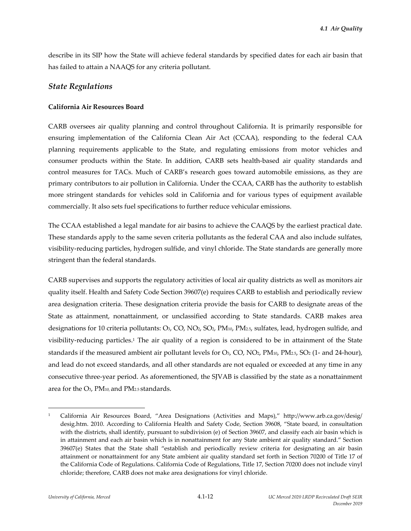describe in its SIP how the State will achieve federal standards by specified dates for each air basin that has failed to attain a NAAQS for any criteria pollutant.

## *State Regulations*

### **California Air Resources Board**

CARB oversees air quality planning and control throughout California. It is primarily responsible for ensuring implementation of the California Clean Air Act (CCAA), responding to the federal CAA planning requirements applicable to the State, and regulating emissions from motor vehicles and consumer products within the State. In addition, CARB sets health‐based air quality standards and control measures for TACs. Much of CARB's research goes toward automobile emissions, as they are primary contributors to air pollution in California. Under the CCAA, CARB has the authority to establish more stringent standards for vehicles sold in California and for various types of equipment available commercially. It also sets fuel specifications to further reduce vehicular emissions.

The CCAA established a legal mandate for air basins to achieve the CAAQS by the earliest practical date. These standards apply to the same seven criteria pollutants as the federal CAA and also include sulfates, visibility‐reducing particles, hydrogen sulfide, and vinyl chloride. The State standards are generally more stringent than the federal standards.

CARB supervises and supports the regulatory activities of local air quality districts as well as monitors air quality itself. Health and Safety Code Section 39607(e) requires CARB to establish and periodically review area designation criteria. These designation criteria provide the basis for CARB to designate areas of the State as attainment, nonattainment, or unclassified according to State standards. CARB makes area designations for 10 criteria pollutants: O<sub>3</sub>, CO, NO<sub>2</sub>, SO<sub>2</sub>, PM<sub>10</sub>, PM<sub>25</sub>, sulfates, lead, hydrogen sulfide, and visibility-reducing particles.<sup>1</sup> The air quality of a region is considered to be in attainment of the State standards if the measured ambient air pollutant levels for  $O_3$ ,  $CO$ ,  $NO_2$ ,  $PM_{10}$ ,  $PM_{2.5}$ ,  $SO_2$  (1- and 24-hour), and lead do not exceed standards, and all other standards are not equaled or exceeded at any time in any consecutive three‐year period. As aforementioned, the SJVAB is classified by the state as a nonattainment area for the O3, PM10, and PM2.5 standards.

<sup>1</sup> California Air Resources Board, "Area Designations (Activities and Maps)," http://www.arb.ca.gov/desig/ desig.htm. 2010. According to California Health and Safety Code, Section 39608, "State board, in consultation with the districts, shall identify, pursuant to subdivision (e) of Section 39607, and classify each air basin which is in attainment and each air basin which is in nonattainment for any State ambient air quality standard." Section 39607(e) States that the State shall "establish and periodically review criteria for designating an air basin attainment or nonattainment for any State ambient air quality standard set forth in Section 70200 of Title 17 of the California Code of Regulations. California Code of Regulations, Title 17, Section 70200 does not include vinyl chloride; therefore, CARB does not make area designations for vinyl chloride.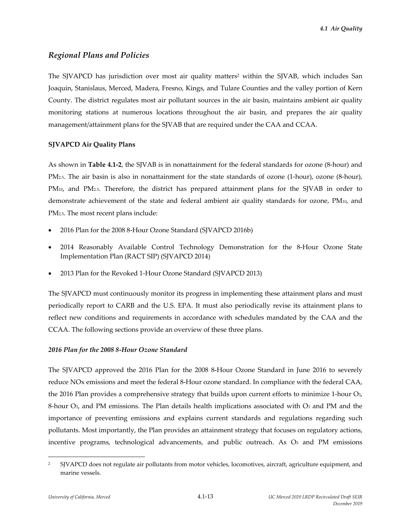# *Regional Plans and Policies*

The SJVAPCD has jurisdiction over most air quality matters<sup>2</sup> within the SJVAB, which includes San Joaquin, Stanislaus, Merced, Madera, Fresno, Kings, and Tulare Counties and the valley portion of Kern County. The district regulates most air pollutant sources in the air basin, maintains ambient air quality monitoring stations at numerous locations throughout the air basin, and prepares the air quality management/attainment plans for the SJVAB that are required under the CAA and CCAA.

#### **SJVAPCD Air Quality Plans**

As shown in **Table 4.1‐2**, the SJVAB is in nonattainment for the federal standards for ozone (8‐hour) and PM<sub>2.5</sub>. The air basin is also in nonattainment for the state standards of ozone (1-hour), ozone (8-hour), PM<sub>10</sub>, and PM<sub>2.5</sub>. Therefore, the district has prepared attainment plans for the SJVAB in order to demonstrate achievement of the state and federal ambient air quality standards for ozone, PM10, and PM2.5. The most recent plans include:

- 2016 Plan for the 2008 8‐Hour Ozone Standard (SJVAPCD 2016b)
- 2014 Reasonably Available Control Technology Demonstration for the 8‐Hour Ozone State Implementation Plan (RACT SIP) (SJVAPCD 2014)
- 2013 Plan for the Revoked 1‐Hour Ozone Standard (SJVAPCD 2013)

The SJVAPCD must continuously monitor its progress in implementing these attainment plans and must periodically report to CARB and the U.S. EPA. It must also periodically revise its attainment plans to reflect new conditions and requirements in accordance with schedules mandated by the CAA and the CCAA. The following sections provide an overview of these three plans.

### *2016 Plan for the 2008 8‐Hour Ozone Standard*

The SJVAPCD approved the 2016 Plan for the 2008 8‐Hour Ozone Standard in June 2016 to severely reduce NOx emissions and meet the federal 8‐Hour ozone standard. In compliance with the federal CAA, the 2016 Plan provides a comprehensive strategy that builds upon current efforts to minimize 1‐hour O3, 8-hour O<sub>3</sub>, and PM emissions. The Plan details health implications associated with O<sub>3</sub> and PM and the importance of preventing emissions and explains current standards and regulations regarding such pollutants. Most importantly, the Plan provides an attainment strategy that focuses on regulatory actions, incentive programs, technological advancements, and public outreach. As  $O<sub>3</sub>$  and PM emissions

<sup>&</sup>lt;sup>2</sup> SJVAPCD does not regulate air pollutants from motor vehicles, locomotives, aircraft, agriculture equipment, and marine vessels.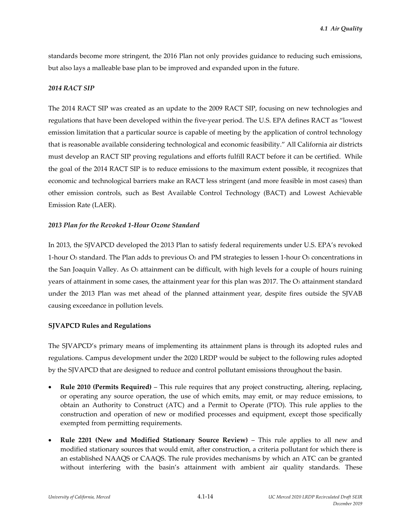standards become more stringent, the 2016 Plan not only provides guidance to reducing such emissions, but also lays a malleable base plan to be improved and expanded upon in the future.

#### *2014 RACT SIP*

The 2014 RACT SIP was created as an update to the 2009 RACT SIP, focusing on new technologies and regulations that have been developed within the five‐year period. The U.S. EPA defines RACT as "lowest emission limitation that a particular source is capable of meeting by the application of control technology that is reasonable available considering technological and economic feasibility." All California air districts must develop an RACT SIP proving regulations and efforts fulfill RACT before it can be certified. While the goal of the 2014 RACT SIP is to reduce emissions to the maximum extent possible, it recognizes that economic and technological barriers make an RACT less stringent (and more feasible in most cases) than other emission controls, such as Best Available Control Technology (BACT) and Lowest Achievable Emission Rate (LAER).

#### *2013 Plan for the Revoked 1‐Hour Ozone Standard*

In 2013, the SJVAPCD developed the 2013 Plan to satisfy federal requirements under U.S. EPA's revoked 1-hour O<sub>3</sub> standard. The Plan adds to previous O<sub>3</sub> and PM strategies to lessen 1-hour O<sub>3</sub> concentrations in the San Joaquin Valley. As  $O_3$  attainment can be difficult, with high levels for a couple of hours ruining years of attainment in some cases, the attainment year for this plan was 2017. The O<sub>3</sub> attainment standard under the 2013 Plan was met ahead of the planned attainment year, despite fires outside the SJVAB causing exceedance in pollution levels.

#### **SJVAPCD Rules and Regulations**

The SJVAPCD's primary means of implementing its attainment plans is through its adopted rules and regulations. Campus development under the 2020 LRDP would be subject to the following rules adopted by the SJVAPCD that are designed to reduce and control pollutant emissions throughout the basin.

- **Rule 2010 (Permits Required)** This rule requires that any project constructing, altering, replacing, or operating any source operation, the use of which emits, may emit, or may reduce emissions, to obtain an Authority to Construct (ATC) and a Permit to Operate (PTO). This rule applies to the construction and operation of new or modified processes and equipment, except those specifically exempted from permitting requirements.
- **Rule 2201 (New and Modified Stationary Source Review)** This rule applies to all new and modified stationary sources that would emit, after construction, a criteria pollutant for which there is an established NAAQS or CAAQS. The rule provides mechanisms by which an ATC can be granted without interfering with the basin's attainment with ambient air quality standards. These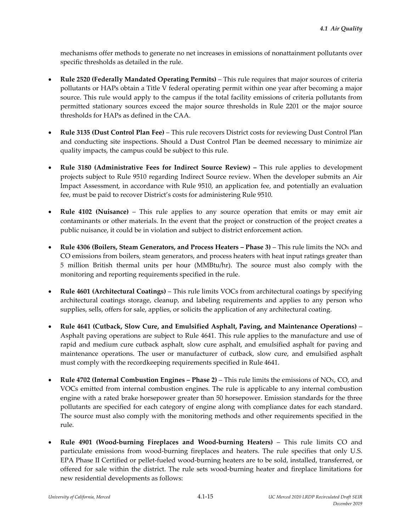mechanisms offer methods to generate no net increases in emissions of nonattainment pollutants over specific thresholds as detailed in the rule.

- **Rule 2520 (Federally Mandated Operating Permits)** This rule requires that major sources of criteria pollutants or HAPs obtain a Title V federal operating permit within one year after becoming a major source. This rule would apply to the campus if the total facility emissions of criteria pollutants from permitted stationary sources exceed the major source thresholds in Rule 2201 or the major source thresholds for HAPs as defined in the CAA.
- **Rule 3135 (Dust Control Plan Fee)** This rule recovers District costs for reviewing Dust Control Plan and conducting site inspections. Should a Dust Control Plan be deemed necessary to minimize air quality impacts, the campus could be subject to this rule.
- **Rule 3180 (Administrative Fees for Indirect Source Review) –** This rule applies to development projects subject to Rule 9510 regarding Indirect Source review. When the developer submits an Air Impact Assessment, in accordance with Rule 9510, an application fee, and potentially an evaluation fee, must be paid to recover District's costs for administering Rule 9510.
- **Rule 4102 (Nuisance)** This rule applies to any source operation that emits or may emit air contaminants or other materials. In the event that the project or construction of the project creates a public nuisance, it could be in violation and subject to district enforcement action.
- **Rule 4306 (Boilers, Steam Generators, and Process Heaters – Phase 3)** This rule limits the NOX and CO emissions from boilers, steam generators, and process heaters with heat input ratings greater than 5 million British thermal units per hour (MMBtu/hr). The source must also comply with the monitoring and reporting requirements specified in the rule.
- **Rule 4601 (Architectural Coatings)** This rule limits VOCs from architectural coatings by specifying architectural coatings storage, cleanup, and labeling requirements and applies to any person who supplies, sells, offers for sale, applies, or solicits the application of any architectural coating.
- **Rule 4641 (Cutback, Slow Cure, and Emulsified Asphalt, Paving, and Maintenance Operations)** Asphalt paving operations are subject to Rule 4641. This rule applies to the manufacture and use of rapid and medium cure cutback asphalt, slow cure asphalt, and emulsified asphalt for paving and maintenance operations. The user or manufacturer of cutback, slow cure, and emulsified asphalt must comply with the recordkeeping requirements specified in Rule 4641.
- **Rule 4702 (Internal Combustion Engines – Phase 2)** This rule limits the emissions of NOX, CO, and VOCs emitted from internal combustion engines. The rule is applicable to any internal combustion engine with a rated brake horsepower greater than 50 horsepower. Emission standards for the three pollutants are specified for each category of engine along with compliance dates for each standard. The source must also comply with the monitoring methods and other requirements specified in the rule.
- **Rule 4901 (Wood‐burning Fireplaces and Wood‐burning Heaters)** This rule limits CO and particulate emissions from wood-burning fireplaces and heaters. The rule specifies that only U.S. EPA Phase II Certified or pellet-fueled wood-burning heaters are to be sold, installed, transferred, or offered for sale within the district. The rule sets wood‐burning heater and fireplace limitations for new residential developments as follows: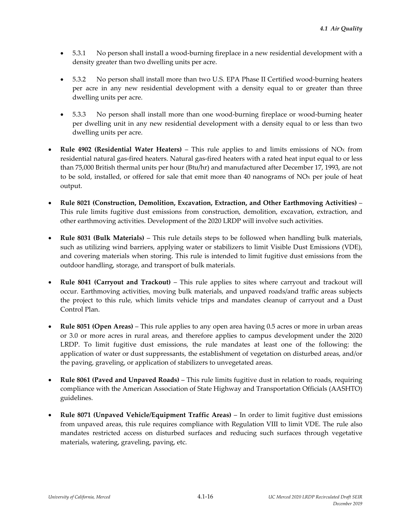- 5.3.1 No person shall install a wood-burning fireplace in a new residential development with a density greater than two dwelling units per acre.
- 5.3.2 No person shall install more than two U.S. EPA Phase II Certified wood‐burning heaters per acre in any new residential development with a density equal to or greater than three dwelling units per acre.
- 5.3.3 No person shall install more than one wood-burning fireplace or wood-burning heater per dwelling unit in any new residential development with a density equal to or less than two dwelling units per acre.
- **Rule** 4902 (Residential Water Heaters) This rule applies to and limits emissions of NO<sub>x</sub> from residential natural gas‐fired heaters. Natural gas‐fired heaters with a rated heat input equal to or less than 75,000 British thermal units per hour (Btu/hr) and manufactured after December 17, 1993, are not to be sold, installed, or offered for sale that emit more than 40 nanograms of  $NOx$  per joule of heat output.
- **Rule 8021 (Construction, Demolition, Excavation, Extraction, and Other Earthmoving Activities)** This rule limits fugitive dust emissions from construction, demolition, excavation, extraction, and other earthmoving activities. Development of the 2020 LRDP will involve such activities.
- **Rule 8031 (Bulk Materials)** This rule details steps to be followed when handling bulk materials, such as utilizing wind barriers, applying water or stabilizers to limit Visible Dust Emissions (VDE), and covering materials when storing. This rule is intended to limit fugitive dust emissions from the outdoor handling, storage, and transport of bulk materials.
- **Rule 8041 (Carryout and Trackout)** This rule applies to sites where carryout and trackout will occur. Earthmoving activities, moving bulk materials, and unpaved roads/and traffic areas subjects the project to this rule, which limits vehicle trips and mandates cleanup of carryout and a Dust Control Plan.
- **Rule 8051 (Open Areas)** This rule applies to any open area having 0.5 acres or more in urban areas or 3.0 or more acres in rural areas, and therefore applies to campus development under the 2020 LRDP. To limit fugitive dust emissions, the rule mandates at least one of the following: the application of water or dust suppressants, the establishment of vegetation on disturbed areas, and/or the paving, graveling, or application of stabilizers to unvegetated areas.
- **Rule 8061 (Paved and Unpaved Roads)** This rule limits fugitive dust in relation to roads, requiring compliance with the American Association of State Highway and Transportation Officials (AASHTO) guidelines.
- **Rule 8071 (Unpaved Vehicle/Equipment Traffic Areas)** In order to limit fugitive dust emissions from unpaved areas, this rule requires compliance with Regulation VIII to limit VDE. The rule also mandates restricted access on disturbed surfaces and reducing such surfaces through vegetative materials, watering, graveling, paving, etc.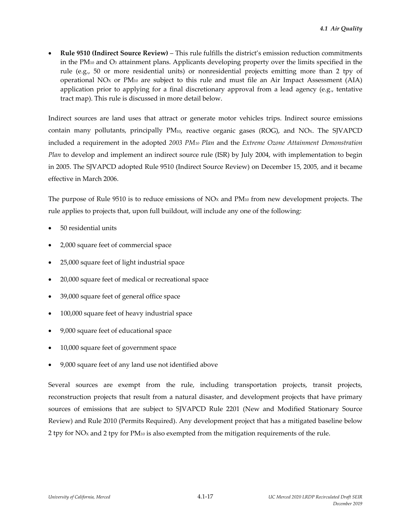**Rule 9510 (Indirect Source Review)** – This rule fulfills the district's emission reduction commitments in the PM10 and O3 attainment plans. Applicants developing property over the limits specified in the rule (e.g., 50 or more residential units) or nonresidential projects emitting more than 2 tpy of operational NO<sub>x</sub> or PM<sub>10</sub> are subject to this rule and must file an Air Impact Assessment (AIA) application prior to applying for a final discretionary approval from a lead agency (e.g., tentative tract map). This rule is discussed in more detail below.

Indirect sources are land uses that attract or generate motor vehicles trips. Indirect source emissions contain many pollutants, principally PM10, reactive organic gases (ROG), and NOX. The SJVAPCD included a requirement in the adopted *2003 PM10 Plan* and the *Extreme Ozone Attainment Demonstration Plan* to develop and implement an indirect source rule (ISR) by July 2004, with implementation to begin in 2005. The SJVAPCD adopted Rule 9510 (Indirect Source Review) on December 15, 2005, and it became effective in March 2006.

The purpose of Rule 9510 is to reduce emissions of NO<sub>x</sub> and PM<sub>10</sub> from new development projects. The rule applies to projects that, upon full buildout, will include any one of the following:

- 50 residential units
- 2,000 square feet of commercial space
- 25,000 square feet of light industrial space
- 20,000 square feet of medical or recreational space
- 39,000 square feet of general office space
- 100,000 square feet of heavy industrial space
- 9,000 square feet of educational space
- 10,000 square feet of government space
- 9,000 square feet of any land use not identified above

Several sources are exempt from the rule, including transportation projects, transit projects, reconstruction projects that result from a natural disaster, and development projects that have primary sources of emissions that are subject to SJVAPCD Rule 2201 (New and Modified Stationary Source Review) and Rule 2010 (Permits Required). Any development project that has a mitigated baseline below 2 tpy for NOx and 2 tpy for  $PM_{10}$  is also exempted from the mitigation requirements of the rule.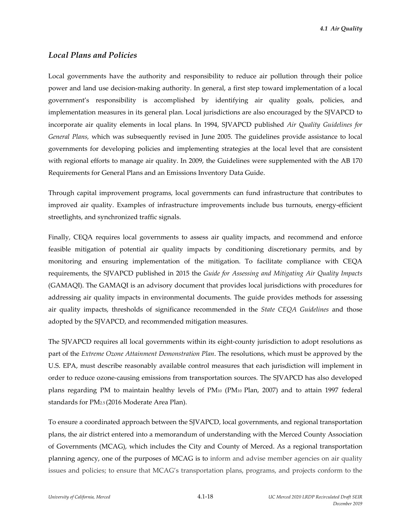*4.1 Air Quality*

#### *Local Plans and Policies*

Local governments have the authority and responsibility to reduce air pollution through their police power and land use decision‐making authority. In general, a first step toward implementation of a local government's responsibility is accomplished by identifying air quality goals, policies, and implementation measures in its general plan. Local jurisdictions are also encouraged by the SJVAPCD to incorporate air quality elements in local plans. In 1994, SJVAPCD published *Air Quality Guidelines for General Plans,* which was subsequently revised in June 2005. The guidelines provide assistance to local governments for developing policies and implementing strategies at the local level that are consistent with regional efforts to manage air quality. In 2009, the Guidelines were supplemented with the AB 170 Requirements for General Plans and an Emissions Inventory Data Guide.

Through capital improvement programs, local governments can fund infrastructure that contributes to improved air quality. Examples of infrastructure improvements include bus turnouts, energy-efficient streetlights, and synchronized traffic signals.

Finally, CEQA requires local governments to assess air quality impacts, and recommend and enforce feasible mitigation of potential air quality impacts by conditioning discretionary permits, and by monitoring and ensuring implementation of the mitigation. To facilitate compliance with CEQA requirements, the SJVAPCD published in 2015 the *Guide for Assessing and Mitigating Air Quality Impacts* (GAMAQI). The GAMAQI is an advisory document that provides local jurisdictions with procedures for addressing air quality impacts in environmental documents. The guide provides methods for assessing air quality impacts, thresholds of significance recommended in the *State CEQA Guidelines* and those adopted by the SJVAPCD, and recommended mitigation measures.

The SJVAPCD requires all local governments within its eight‐county jurisdiction to adopt resolutions as part of the *Extreme Ozone Attainment Demonstration Plan*. The resolutions, which must be approved by the U.S. EPA, must describe reasonably available control measures that each jurisdiction will implement in order to reduce ozone‐causing emissions from transportation sources. The SJVAPCD has also developed plans regarding PM to maintain healthy levels of PM10 (PM10 Plan, 2007) and to attain 1997 federal standards for PM2.5 (2016 Moderate Area Plan).

To ensure a coordinated approach between the SJVAPCD, local governments, and regional transportation plans, the air district entered into a memorandum of understanding with the Merced County Association of Governments (MCAG), which includes the City and County of Merced. As a regional transportation planning agency, one of the purposes of MCAG is to inform and advise member agencies on air quality issues and policies; to ensure that MCAG's transportation plans, programs, and projects conform to the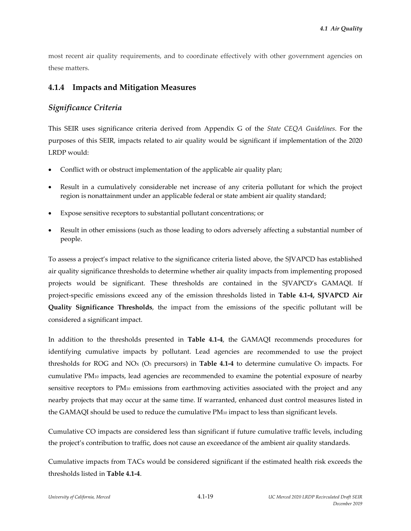most recent air quality requirements, and to coordinate effectively with other government agencies on these matters.

# **4.1.4 Impacts and Mitigation Measures**

# *Significance Criteria*

This SEIR uses significance criteria derived from Appendix G of the *State CEQA Guidelines*. For the purposes of this SEIR, impacts related to air quality would be significant if implementation of the 2020 LRDP would:

- Conflict with or obstruct implementation of the applicable air quality plan;
- Result in a cumulatively considerable net increase of any criteria pollutant for which the project region is nonattainment under an applicable federal or state ambient air quality standard;
- Expose sensitive receptors to substantial pollutant concentrations; or
- Result in other emissions (such as those leading to odors adversely affecting a substantial number of people.

To assess a project's impact relative to the significance criteria listed above, the SJVAPCD has established air quality significance thresholds to determine whether air quality impacts from implementing proposed projects would be significant. These thresholds are contained in the SJVAPCD's GAMAQI. If project‐specific emissions exceed any of the emission thresholds listed in **Table 4.1‐4, SJVAPCD Air Quality Significance Thresholds**, the impact from the emissions of the specific pollutant will be considered a significant impact.

In addition to the thresholds presented in **Table 4.1‐4**, the GAMAQI recommends procedures for identifying cumulative impacts by pollutant. Lead agencies are recommended to use the project thresholds for ROG and NOX (O3 precursors) in **Table 4.1‐4** to determine cumulative O3 impacts. For cumulative PM10 impacts, lead agencies are recommended to examine the potential exposure of nearby sensitive receptors to PM10 emissions from earthmoving activities associated with the project and any nearby projects that may occur at the same time. If warranted, enhanced dust control measures listed in the GAMAQI should be used to reduce the cumulative PM10 impact to less than significant levels.

Cumulative CO impacts are considered less than significant if future cumulative traffic levels, including the project's contribution to traffic, does not cause an exceedance of the ambient air quality standards.

Cumulative impacts from TACs would be considered significant if the estimated health risk exceeds the thresholds listed in **Table 4.1‐4**.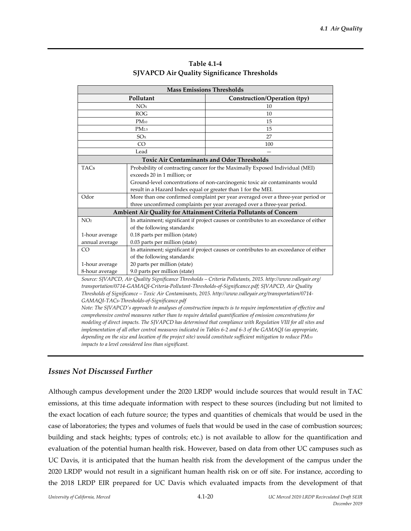|                                                                                                             | <b>Mass Emissions Thresholds</b>                                                       |                                                                                        |  |  |  |  |  |
|-------------------------------------------------------------------------------------------------------------|----------------------------------------------------------------------------------------|----------------------------------------------------------------------------------------|--|--|--|--|--|
|                                                                                                             | Pollutant                                                                              | Construction/Operation (tpy)                                                           |  |  |  |  |  |
|                                                                                                             | NOx                                                                                    | 10                                                                                     |  |  |  |  |  |
|                                                                                                             | <b>ROG</b>                                                                             | 10                                                                                     |  |  |  |  |  |
|                                                                                                             | $PM_{10}$                                                                              | 15                                                                                     |  |  |  |  |  |
|                                                                                                             | PM <sub>2.5</sub>                                                                      | 15                                                                                     |  |  |  |  |  |
|                                                                                                             | SO <sub>X</sub>                                                                        | 27                                                                                     |  |  |  |  |  |
|                                                                                                             | CO                                                                                     | 100                                                                                    |  |  |  |  |  |
|                                                                                                             | Lead                                                                                   |                                                                                        |  |  |  |  |  |
|                                                                                                             | <b>Toxic Air Contaminants and Odor Thresholds</b>                                      |                                                                                        |  |  |  |  |  |
| <b>TACs</b>                                                                                                 |                                                                                        | Probability of contracting cancer for the Maximally Exposed Individual (MEI)           |  |  |  |  |  |
|                                                                                                             | exceeds 20 in 1 million: or                                                            |                                                                                        |  |  |  |  |  |
|                                                                                                             |                                                                                        | Ground-level concentrations of non-carcinogenic toxic air contaminants would           |  |  |  |  |  |
|                                                                                                             | result in a Hazard Index equal or greater than 1 for the MEI.                          |                                                                                        |  |  |  |  |  |
| Odor                                                                                                        |                                                                                        | More than one confirmed complaint per year averaged over a three-year period or        |  |  |  |  |  |
|                                                                                                             |                                                                                        | three unconfirmed complaints per year averaged over a three-year period.               |  |  |  |  |  |
|                                                                                                             |                                                                                        | Ambient Air Quality for Attainment Criteria Pollutants of Concern                      |  |  |  |  |  |
| NO <sub>2</sub>                                                                                             |                                                                                        | In attainment; significant if project causes or contributes to an exceedance of either |  |  |  |  |  |
|                                                                                                             | of the following standards:                                                            |                                                                                        |  |  |  |  |  |
| 1-hour average                                                                                              | 0.18 parts per million (state)                                                         |                                                                                        |  |  |  |  |  |
| annual average                                                                                              | 0.03 parts per million (state)                                                         |                                                                                        |  |  |  |  |  |
| CO <sub>1</sub>                                                                                             | In attainment; significant if project causes or contributes to an exceedance of either |                                                                                        |  |  |  |  |  |
|                                                                                                             | of the following standards:                                                            |                                                                                        |  |  |  |  |  |
| 1-hour average                                                                                              | 20 parts per million (state)                                                           |                                                                                        |  |  |  |  |  |
| 8-hour average                                                                                              | 9.0 parts per million (state)                                                          |                                                                                        |  |  |  |  |  |
| Source: SJVAPCD, Air Quality Significance Thresholds - Criteria Pollutants, 2015. http://www.valleyair.org/ |                                                                                        |                                                                                        |  |  |  |  |  |

### **Table 4.1‐4 SJVAPCD Air Quality Significance Thresholds**

*transportation/0714‐GAMAQI‐Criteria‐Pollutant‐Thresholds‐of‐Significance.pdf; SJVAPCD, Air Quality Thresholds of Significance – Toxic Air Contaminants, 2015. http://www.valleyair.org/transportation/0714‐ GAMAQI‐TACs‐Thresholds‐of‐Significance.pdf*

Note: The SJVAPCD's approach to analyses of construction impacts is to require implementation of effective and *comprehensive control measures rather than to require detailed quantification of emission concentrations for* modeling of direct impacts. The SJVAPCD has determined that compliance with Regulation VIII for all sites and implementation of all other control measures indicated in Tables 6-2 and 6-3 of the GAMAQI (as appropriate, depending on the size and location of the project site) would constitute sufficient mitigation to reduce PM10 *impacts to a level considered less than significant.*

# *Issues Not Discussed Further*

Although campus development under the 2020 LRDP would include sources that would result in TAC emissions, at this time adequate information with respect to these sources (including but not limited to the exact location of each future source; the types and quantities of chemicals that would be used in the case of laboratories; the types and volumes of fuels that would be used in the case of combustion sources; building and stack heights; types of controls; etc.) is not available to allow for the quantification and evaluation of the potential human health risk. However, based on data from other UC campuses such as UC Davis, it is anticipated that the human health risk from the development of the campus under the 2020 LRDP would not result in a significant human health risk on or off site. For instance, according to the 2018 LRDP EIR prepared for UC Davis which evaluated impacts from the development of that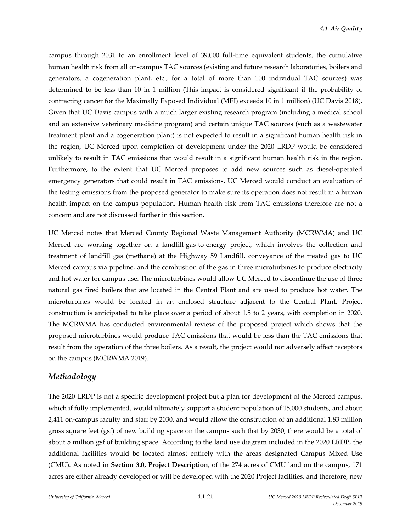campus through 2031 to an enrollment level of 39,000 full-time equivalent students, the cumulative human health risk from all on‐campus TAC sources (existing and future research laboratories, boilers and generators, a cogeneration plant, etc., for a total of more than 100 individual TAC sources) was determined to be less than 10 in 1 million (This impact is considered significant if the probability of contracting cancer for the Maximally Exposed Individual (MEI) exceeds 10 in 1 million) (UC Davis 2018). Given that UC Davis campus with a much larger existing research program (including a medical school and an extensive veterinary medicine program) and certain unique TAC sources (such as a wastewater treatment plant and a cogeneration plant) is not expected to result in a significant human health risk in the region, UC Merced upon completion of development under the 2020 LRDP would be considered unlikely to result in TAC emissions that would result in a significant human health risk in the region. Furthermore, to the extent that UC Merced proposes to add new sources such as diesel-operated emergency generators that could result in TAC emissions, UC Merced would conduct an evaluation of the testing emissions from the proposed generator to make sure its operation does not result in a human health impact on the campus population. Human health risk from TAC emissions therefore are not a concern and are not discussed further in this section.

UC Merced notes that Merced County Regional Waste Management Authority (MCRWMA) and UC Merced are working together on a landfill-gas-to-energy project, which involves the collection and treatment of landfill gas (methane) at the Highway 59 Landfill, conveyance of the treated gas to UC Merced campus via pipeline, and the combustion of the gas in three microturbines to produce electricity and hot water for campus use. The microturbines would allow UC Merced to discontinue the use of three natural gas fired boilers that are located in the Central Plant and are used to produce hot water. The microturbines would be located in an enclosed structure adjacent to the Central Plant. Project construction is anticipated to take place over a period of about 1.5 to 2 years, with completion in 2020. The MCRWMA has conducted environmental review of the proposed project which shows that the proposed microturbines would produce TAC emissions that would be less than the TAC emissions that result from the operation of the three boilers. As a result, the project would not adversely affect receptors on the campus (MCRWMA 2019).

### *Methodology*

The 2020 LRDP is not a specific development project but a plan for development of the Merced campus, which if fully implemented, would ultimately support a student population of 15,000 students, and about 2,411 on‐campus faculty and staff by 2030, and would allow the construction of an additional 1.83 million gross square feet (gsf) of new building space on the campus such that by 2030, there would be a total of about 5 million gsf of building space. According to the land use diagram included in the 2020 LRDP, the additional facilities would be located almost entirely with the areas designated Campus Mixed Use (CMU). As noted in **Section 3.0, Project Description**, of the 274 acres of CMU land on the campus, 171 acres are either already developed or will be developed with the 2020 Project facilities, and therefore, new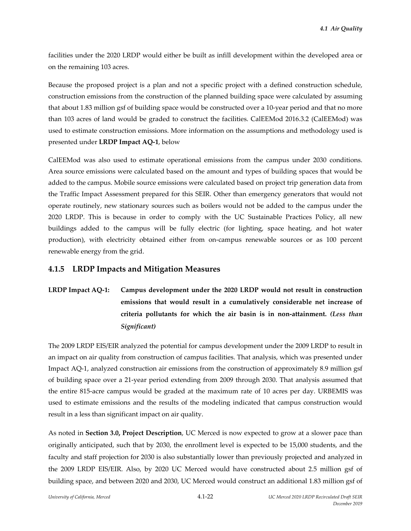facilities under the 2020 LRDP would either be built as infill development within the developed area or on the remaining 103 acres.

Because the proposed project is a plan and not a specific project with a defined construction schedule, construction emissions from the construction of the planned building space were calculated by assuming that about 1.83 million gsf of building space would be constructed over a 10‐year period and that no more than 103 acres of land would be graded to construct the facilities. CalEEMod 2016.3.2 (CalEEMod) was used to estimate construction emissions. More information on the assumptions and methodology used is presented under **LRDP Impact AQ‐1**, below

CalEEMod was also used to estimate operational emissions from the campus under 2030 conditions. Area source emissions were calculated based on the amount and types of building spaces that would be added to the campus. Mobile source emissions were calculated based on project trip generation data from the Traffic Impact Assessment prepared for this SEIR. Other than emergency generators that would not operate routinely, new stationary sources such as boilers would not be added to the campus under the 2020 LRDP. This is because in order to comply with the UC Sustainable Practices Policy, all new buildings added to the campus will be fully electric (for lighting, space heating, and hot water production), with electricity obtained either from on-campus renewable sources or as 100 percent renewable energy from the grid.

# **4.1.5 LRDP Impacts and Mitigation Measures**

# **LRDP Impact AQ‐1: Campus development under the 2020 LRDP would not result in construction emissions that would result in a cumulatively considerable net increase of criteria pollutants for which the air basin is in non‐attainment.** *(Less than Significant)*

The 2009 LRDP EIS/EIR analyzed the potential for campus development under the 2009 LRDP to result in an impact on air quality from construction of campus facilities. That analysis, which was presented under Impact AQ‐1, analyzed construction air emissions from the construction of approximately 8.9 million gsf of building space over a 21‐year period extending from 2009 through 2030. That analysis assumed that the entire 815-acre campus would be graded at the maximum rate of 10 acres per day. URBEMIS was used to estimate emissions and the results of the modeling indicated that campus construction would result in a less than significant impact on air quality.

As noted in **Section 3.0, Project Description**, UC Merced is now expected to grow at a slower pace than originally anticipated, such that by 2030, the enrollment level is expected to be 15,000 students, and the faculty and staff projection for 2030 is also substantially lower than previously projected and analyzed in the 2009 LRDP EIS/EIR. Also, by 2020 UC Merced would have constructed about 2.5 million gsf of building space, and between 2020 and 2030, UC Merced would construct an additional 1.83 million gsf of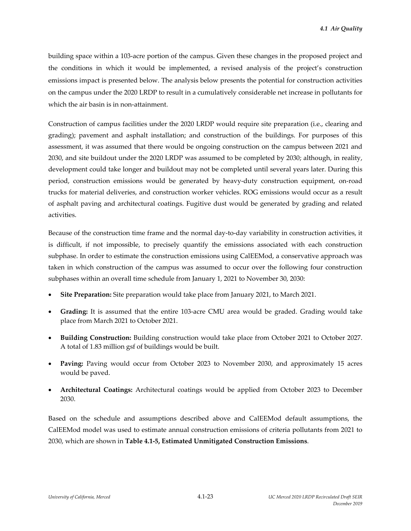building space within a 103‐acre portion of the campus. Given these changes in the proposed project and the conditions in which it would be implemented, a revised analysis of the project's construction emissions impact is presented below. The analysis below presents the potential for construction activities on the campus under the 2020 LRDP to result in a cumulatively considerable net increase in pollutants for which the air basin is in non-attainment.

Construction of campus facilities under the 2020 LRDP would require site preparation (i.e., clearing and grading); pavement and asphalt installation; and construction of the buildings. For purposes of this assessment, it was assumed that there would be ongoing construction on the campus between 2021 and 2030, and site buildout under the 2020 LRDP was assumed to be completed by 2030; although, in reality, development could take longer and buildout may not be completed until several years later. During this period, construction emissions would be generated by heavy‐duty construction equipment, on‐road trucks for material deliveries, and construction worker vehicles. ROG emissions would occur as a result of asphalt paving and architectural coatings. Fugitive dust would be generated by grading and related activities.

Because of the construction time frame and the normal day-to-day variability in construction activities, it is difficult, if not impossible, to precisely quantify the emissions associated with each construction subphase. In order to estimate the construction emissions using CalEEMod, a conservative approach was taken in which construction of the campus was assumed to occur over the following four construction subphases within an overall time schedule from January 1, 2021 to November 30, 2030:

- **Site Preparation:** Site preparation would take place from January 2021, to March 2021.
- **Grading:** It is assumed that the entire 103‐acre CMU area would be graded. Grading would take place from March 2021 to October 2021.
- **Building Construction:** Building construction would take place from October 2021 to October 2027. A total of 1.83 million gsf of buildings would be built.
- **Paving:** Paving would occur from October 2023 to November 2030, and approximately 15 acres would be paved.
- **Architectural Coatings:** Architectural coatings would be applied from October 2023 to December 2030.

Based on the schedule and assumptions described above and CalEEMod default assumptions, the CalEEMod model was used to estimate annual construction emissions of criteria pollutants from 2021 to 2030, which are shown in **Table 4.1‐5, Estimated Unmitigated Construction Emissions**.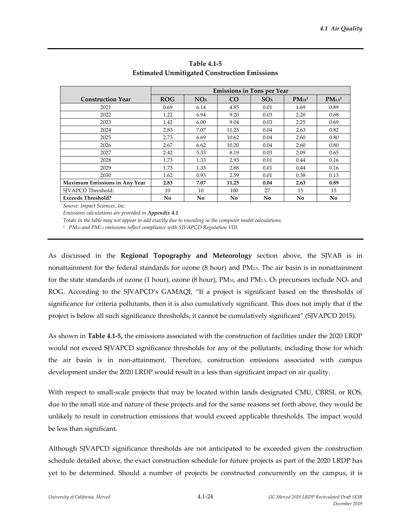|                               | <b>Emissions in Tons per Year</b> |      |       |      |                        |                                |  |
|-------------------------------|-----------------------------------|------|-------|------|------------------------|--------------------------------|--|
| <b>Construction Year</b>      | <b>ROG</b>                        | NOx  | CO    | SOx  | $PM_{10}$ <sup>1</sup> | PM <sub>2.5</sub> <sup>1</sup> |  |
| 2021                          | 0.69                              | 6.14 | 4.85  | 0.01 | 1.69                   | 0.89                           |  |
| 2022                          | 1.22                              | 6.94 | 9.20  | 0.03 | 2.20                   | 0.68                           |  |
| 2023                          | 1.42                              | 6.00 | 9.04  | 0.03 | 2.25                   | 0.69                           |  |
| 2024                          | 2.83                              | 7.07 | 11.25 | 0.04 | 2.63                   | 0.82                           |  |
| 2025                          | 2.73                              | 6.69 | 10.62 | 0.04 | 2.60                   | 0.80                           |  |
| 2026                          | 2.67                              | 6.62 | 10.20 | 0.04 | 2.60                   | 0.80                           |  |
| 2027                          | 2.42                              | 5.33 | 8.19  | 0.03 | 2.09                   | 0.65                           |  |
| 2028                          | 1.73                              | 1.33 | 2.93  | 0.01 | 0.44                   | 0.16                           |  |
| 2029                          | 1.73                              | 1.33 | 2.88  | 0.01 | 0.44                   | 0.16                           |  |
| 2030                          | 1.62                              | 0.93 | 2.59  | 0.01 | 0.38                   | 0.13                           |  |
| Maximum Emissions in Any Year | 2.83                              | 7.07 | 11.25 | 0.04 | 2.63                   | 0.89                           |  |
| SJVAPCD Threshold:            | 10                                | 10   | 100   | 27   | 15                     | 15                             |  |
| <b>Exceeds Threshold?</b>     | <b>No</b>                         | No   | No    | No   | No                     | No                             |  |

**Table 4.1‐5 Estimated Unmitigated Construction Emissions** 

*Source: Impact Sciences, Inc.*

*Emissions calculations are provided in Appendix 4.1.*

Totals in the table may not appear to add exactly due to rounding in the computer model calculations.

*<sup>1</sup> PM10 and PM2.5 emissions reflect compliance with SJVAPCD Regulation VIII.*

As discussed in the **Regional Topography and Meteorology** section above, the SJVAB is in nonattainment for the federal standards for ozone (8 hour) and PM2.5. The air basin is in nonattainment for the state standards of ozone (1 hour), ozone (8 hour), PM $_{10}$ , and PM $_{2.5}$ . O<sub>3</sub> precursors include NO<sub>x</sub> and ROG. According to the SJVAPCD's GAMAQI, "If a project is significant based on the thresholds of significance for criteria pollutants, then it is also cumulatively significant. This does not imply that if the project is below all such significance thresholds, it cannot be cumulatively significant" (SJVAPCD 2015).

As shown in **Table 4.1‐5,** the emissions associated with the construction of facilities under the 2020 LRDP would not exceed SJVAPCD significance thresholds for any of the pollutants, including those for which the air basin is in non‐attainment. Therefore, construction emissions associated with campus development under the 2020 LRDP would result in a less than significant impact on air quality.

With respect to small-scale projects that may be located within lands designated CMU, CBRSL or ROS, due to the small size and nature of these projects and for the same reasons set forth above, they would be unlikely to result in construction emissions that would exceed applicable thresholds. The impact would be less than significant.

Although SJVAPCD significance thresholds are not anticipated to be exceeded given the construction schedule detailed above, the exact construction schedule for future projects as part of the 2020 LRDP has yet to be determined. Should a number of projects be constructed concurrently on the campus, it is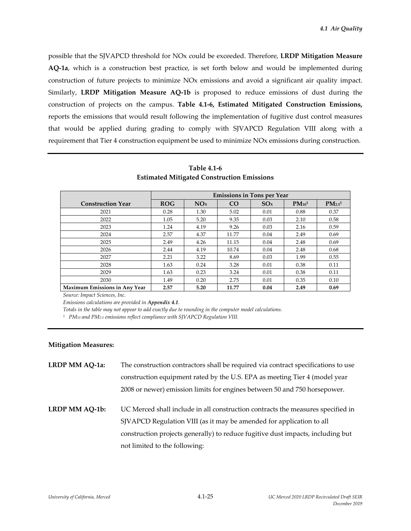possible that the SJVAPCD threshold for NOx could be exceeded. Therefore, **LRDP Mitigation Measure AQ‐1a**, which is a construction best practice, is set forth below and would be implemented during construction of future projects to minimize NOx emissions and avoid a significant air quality impact. Similarly, **LRDP Mitigation Measure AQ‐1b** is proposed to reduce emissions of dust during the construction of projects on the campus. **Table 4.1‐6, Estimated Mitigated Construction Emissions,** reports the emissions that would result following the implementation of fugitive dust control measures that would be applied during grading to comply with SJVAPCD Regulation VIII along with a requirement that Tier 4 construction equipment be used to minimize NOx emissions during construction.

|                               | <b>Emissions in Tons per Year</b> |      |       |      |                        |                                |  |  |
|-------------------------------|-----------------------------------|------|-------|------|------------------------|--------------------------------|--|--|
| <b>Construction Year</b>      | ROG                               | NOx  | CO    | SOx  | $PM_{10}$ <sup>1</sup> | PM <sub>2.5</sub> <sup>1</sup> |  |  |
| 2021                          | 0.28                              | 1.30 | 5.02  | 0.01 | 0.88                   | 0.37                           |  |  |
| 2022                          | 1.05                              | 5.20 | 9.35  | 0.03 | 2.10                   | 0.58                           |  |  |
| 2023                          | 1.24                              | 4.19 | 9.26  | 0.03 | 2.16                   | 0.59                           |  |  |
| 2024                          | 2.57                              | 4.37 | 11.77 | 0.04 | 2.49                   | 0.69                           |  |  |
| 2025                          | 2.49                              | 4.26 | 11.15 | 0.04 | 2.48                   | 0.69                           |  |  |
| 2026                          | 2.44                              | 4.19 | 10.74 | 0.04 | 2.48                   | 0.68                           |  |  |
| 2027                          | 2.21                              | 3.22 | 8.69  | 0.03 | 1.99                   | 0.55                           |  |  |
| 2028                          | 1.63                              | 0.24 | 3.28  | 0.01 | 0.38                   | 0.11                           |  |  |
| 2029                          | 1.63                              | 0.23 | 3.24  | 0.01 | 0.38                   | 0.11                           |  |  |
| 2030                          | 1.49                              | 0.20 | 2.75  | 0.01 | 0.35                   | 0.10                           |  |  |
| Maximum Emissions in Any Year | 2.57                              | 5.20 | 11.77 | 0.04 | 2.49                   | 0.69                           |  |  |

**Table 4.1‐6 Estimated Mitigated Construction Emissions** 

*Source: Impact Sciences, Inc.*

*Emissions calculations are provided in Appendix 4.1.*

Totals in the table may not appear to add exactly due to rounding in the computer model calculations.

*<sup>1</sup> PM10 and PM2.5 emissions reflect compliance with SJVAPCD Regulation VIII.*

#### **Mitigation Measures:**

| <b>LRDP MM AQ-1a:</b> | The construction contractors shall be required via contract specifications to use |
|-----------------------|-----------------------------------------------------------------------------------|
|                       | construction equipment rated by the U.S. EPA as meeting Tier 4 (model year)       |
|                       | 2008 or newer) emission limits for engines between 50 and 750 horsepower.         |
| LRDP MM AQ-1b:        | UC Merced shall include in all construction contracts the measures specified in   |
|                       | SJVAPCD Regulation VIII (as it may be amended for application to all              |
|                       | construction projects generally) to reduce fugitive dust impacts, including but   |
|                       | not limited to the following:                                                     |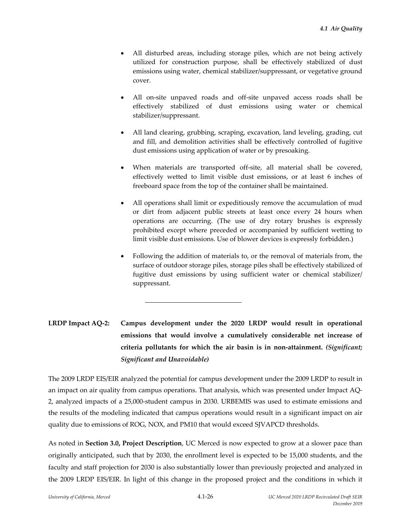- All disturbed areas, including storage piles, which are not being actively utilized for construction purpose, shall be effectively stabilized of dust emissions using water, chemical stabilizer/suppressant, or vegetative ground cover.
- All on‐site unpaved roads and off‐site unpaved access roads shall be effectively stabilized of dust emissions using water or chemical stabilizer/suppressant.
- All land clearing, grubbing, scraping, excavation, land leveling, grading, cut and fill, and demolition activities shall be effectively controlled of fugitive dust emissions using application of water or by presoaking.
- When materials are transported off-site, all material shall be covered, effectively wetted to limit visible dust emissions, or at least 6 inches of freeboard space from the top of the container shall be maintained.
- All operations shall limit or expeditiously remove the accumulation of mud or dirt from adjacent public streets at least once every 24 hours when operations are occurring. (The use of dry rotary brushes is expressly prohibited except where preceded or accompanied by sufficient wetting to limit visible dust emissions. Use of blower devices is expressly forbidden.)
- Following the addition of materials to, or the removal of materials from, the surface of outdoor storage piles, storage piles shall be effectively stabilized of fugitive dust emissions by using sufficient water or chemical stabilizer/ suppressant.
- **LRDP Impact AQ‐2: Campus development under the 2020 LRDP would result in operational emissions that would involve a cumulatively considerable net increase of criteria pollutants for which the air basin is in non‐attainment.** *(Significant; Significant and Unavoidable)*

l

The 2009 LRDP EIS/EIR analyzed the potential for campus development under the 2009 LRDP to result in an impact on air quality from campus operations. That analysis, which was presented under Impact AQ‐ 2, analyzed impacts of a 25,000‐student campus in 2030. URBEMIS was used to estimate emissions and the results of the modeling indicated that campus operations would result in a significant impact on air quality due to emissions of ROG, NOX, and PM10 that would exceed SJVAPCD thresholds.

As noted in **Section 3.0, Project Description**, UC Merced is now expected to grow at a slower pace than originally anticipated, such that by 2030, the enrollment level is expected to be 15,000 students, and the faculty and staff projection for 2030 is also substantially lower than previously projected and analyzed in the 2009 LRDP EIS/EIR. In light of this change in the proposed project and the conditions in which it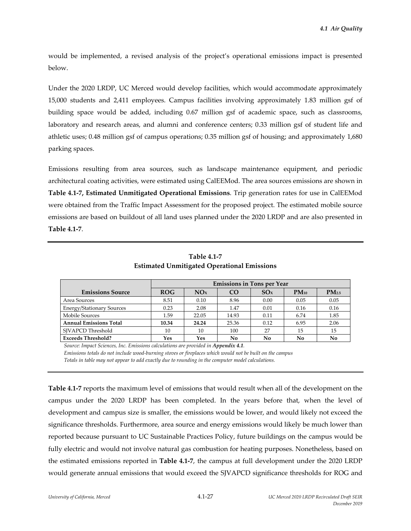would be implemented, a revised analysis of the project's operational emissions impact is presented below.

Under the 2020 LRDP, UC Merced would develop facilities, which would accommodate approximately 15,000 students and 2,411 employees. Campus facilities involving approximately 1.83 million gsf of building space would be added, including 0.67 million gsf of academic space, such as classrooms, laboratory and research areas, and alumni and conference centers; 0.33 million gsf of student life and athletic uses; 0.48 million gsf of campus operations; 0.35 million gsf of housing; and approximately 1,680 parking spaces.

Emissions resulting from area sources, such as landscape maintenance equipment, and periodic architectural coating activities, were estimated using CalEEMod. The area sources emissions are shown in **Table 4.1‐7, Estimated Unmitigated Operational Emissions**. Trip generation rates for use in CalEEMod were obtained from the Traffic Impact Assessment for the proposed project. The estimated mobile source emissions are based on buildout of all land uses planned under the 2020 LRDP and are also presented in **Table 4.1‐7**.

|                                  | <b>Emissions in Tons per Year</b> |       |           |      |           |                   |  |  |
|----------------------------------|-----------------------------------|-------|-----------|------|-----------|-------------------|--|--|
| <b>Emissions Source</b>          | <b>ROG</b>                        | NOx   | <b>CO</b> | SOx  | $PM_{10}$ | PM <sub>2.5</sub> |  |  |
| Area Sources                     | 8.51                              | 0.10  | 8.96      | 0.00 | 0.05      | 0.05              |  |  |
| <b>Energy/Stationary Sources</b> | 0.23                              | 2.08  | 1.47      | 0.01 | 0.16      | 0.16              |  |  |
| Mobile Sources                   | 1.59                              | 22.05 | 14.93     | 0.11 | 6.74      | 1.85              |  |  |
| <b>Annual Emissions Total</b>    | 10.34                             | 24.24 | 25.36     | 0.12 | 6.95      | 2.06              |  |  |
| SIVAPCD Threshold                | 10                                | 10    | 100       | 27   | 15        | 15                |  |  |
| <b>Exceeds Threshold?</b>        | Yes                               | Yes   | No        | No   | No        | No                |  |  |

**Table 4.1‐7 Estimated Unmitigated Operational Emissions**

*Source: Impact Sciences, Inc. Emissions calculations are provided in Appendix 4.1.*

Emissions totals do not include wood-burning stoves or fireplaces which would not be built on the campus

*Totals in table may not appear to add exactly due to rounding in the computer model calculations.*

**Table 4.1‐7** reports the maximum level of emissions that would result when all of the development on the campus under the 2020 LRDP has been completed. In the years before that, when the level of development and campus size is smaller, the emissions would be lower, and would likely not exceed the significance thresholds. Furthermore, area source and energy emissions would likely be much lower than reported because pursuant to UC Sustainable Practices Policy, future buildings on the campus would be fully electric and would not involve natural gas combustion for heating purposes. Nonetheless, based on the estimated emissions reported in **Table 4.1‐7**, the campus at full development under the 2020 LRDP would generate annual emissions that would exceed the SJVAPCD significance thresholds for ROG and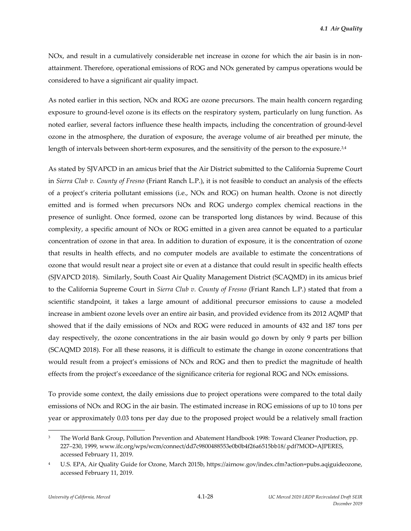NOx, and result in a cumulatively considerable net increase in ozone for which the air basin is in nonattainment. Therefore, operational emissions of ROG and NOx generated by campus operations would be considered to have a significant air quality impact.

As noted earlier in this section, NOx and ROG are ozone precursors. The main health concern regarding exposure to ground-level ozone is its effects on the respiratory system, particularly on lung function. As noted earlier, several factors influence these health impacts, including the concentration of ground-level ozone in the atmosphere, the duration of exposure, the average volume of air breathed per minute, the length of intervals between short-term exposures, and the sensitivity of the person to the exposure.<sup>3,4</sup>

As stated by SJVAPCD in an amicus brief that the Air District submitted to the California Supreme Court in *Sierra Club v. County of Fresno* (Friant Ranch L.P.), it is not feasible to conduct an analysis of the effects of a project's criteria pollutant emissions (i.e., NOx and ROG) on human health. Ozone is not directly emitted and is formed when precursors NOx and ROG undergo complex chemical reactions in the presence of sunlight. Once formed, ozone can be transported long distances by wind. Because of this complexity, a specific amount of NOx or ROG emitted in a given area cannot be equated to a particular concentration of ozone in that area. In addition to duration of exposure, it is the concentration of ozone that results in health effects, and no computer models are available to estimate the concentrations of ozone that would result near a project site or even at a distance that could result in specific health effects (SJVAPCD 2018). Similarly, South Coast Air Quality Management District (SCAQMD) in its amicus brief to the California Supreme Court in *Sierra Club v. County of Fresno* (Friant Ranch L.P.) stated that from a scientific standpoint, it takes a large amount of additional precursor emissions to cause a modeled increase in ambient ozone levels over an entire air basin, and provided evidence from its 2012 AQMP that showed that if the daily emissions of NOx and ROG were reduced in amounts of 432 and 187 tons per day respectively, the ozone concentrations in the air basin would go down by only 9 parts per billion (SCAQMD 2018). For all these reasons, it is difficult to estimate the change in ozone concentrations that would result from a project's emissions of NOx and ROG and then to predict the magnitude of health effects from the project's exceedance of the significance criteria for regional ROG and NOx emissions.

To provide some context, the daily emissions due to project operations were compared to the total daily emissions of NOx and ROG in the air basin. The estimated increase in ROG emissions of up to 10 tons per year or approximately 0.03 tons per day due to the proposed project would be a relatively small fraction

<sup>3</sup> The World Bank Group, Pollution Prevention and Abatement Handbook 1998: Toward Cleaner Production, pp. 227–230, 1999, www.ifc.org/wps/wcm/connect/dd7c9800488553e0b0b4f26a6515bb18/.pdf?MOD=AJPERES, accessed February 11, 2019.

<sup>4</sup> U.S. EPA, Air Quality Guide for Ozone, March 2015b, https://airnow.gov/index.cfm?action=pubs.aqiguideozone, accessed February 11, 2019.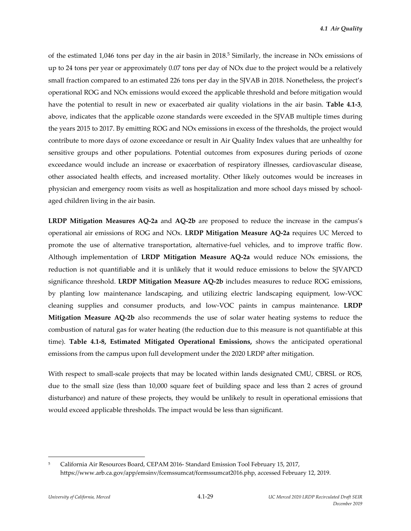of the estimated 1,046 tons per day in the air basin in  $2018<sup>5</sup>$  Similarly, the increase in NOx emissions of up to 24 tons per year or approximately 0.07 tons per day of NOx due to the project would be a relatively small fraction compared to an estimated 226 tons per day in the SJVAB in 2018. Nonetheless, the project's operational ROG and NOx emissions would exceed the applicable threshold and before mitigation would have the potential to result in new or exacerbated air quality violations in the air basin. **Table 4.1‐3**, above, indicates that the applicable ozone standards were exceeded in the SJVAB multiple times during the years 2015 to 2017. By emitting ROG and NOx emissions in excess of the thresholds, the project would contribute to more days of ozone exceedance or result in Air Quality Index values that are unhealthy for sensitive groups and other populations. Potential outcomes from exposures during periods of ozone exceedance would include an increase or exacerbation of respiratory illnesses, cardiovascular disease, other associated health effects, and increased mortality. Other likely outcomes would be increases in physician and emergency room visits as well as hospitalization and more school days missed by school‐ aged children living in the air basin.

**LRDP Mitigation Measures AQ‐2a** and **AQ‐2b** are proposed to reduce the increase in the campus's operational air emissions of ROG and NOx. **LRDP Mitigation Measure AQ‐2a** requires UC Merced to promote the use of alternative transportation, alternative‐fuel vehicles, and to improve traffic flow. Although implementation of **LRDP Mitigation Measure AQ‐2a** would reduce NOx emissions, the reduction is not quantifiable and it is unlikely that it would reduce emissions to below the SJVAPCD significance threshold. **LRDP Mitigation Measure AQ‐2b** includes measures to reduce ROG emissions, by planting low maintenance landscaping, and utilizing electric landscaping equipment, low‐VOC cleaning supplies and consumer products, and low‐VOC paints in campus maintenance. **LRDP Mitigation Measure AQ‐2b** also recommends the use of solar water heating systems to reduce the combustion of natural gas for water heating (the reduction due to this measure is not quantifiable at this time). **Table 4.1‐8, Estimated Mitigated Operational Emissions,** shows the anticipated operational emissions from the campus upon full development under the 2020 LRDP after mitigation.

With respect to small-scale projects that may be located within lands designated CMU, CBRSL or ROS, due to the small size (less than 10,000 square feet of building space and less than 2 acres of ground disturbance) and nature of these projects, they would be unlikely to result in operational emissions that would exceed applicable thresholds. The impact would be less than significant.

<sup>5</sup> California Air Resources Board, CEPAM 2016‐ Standard Emission Tool February 15, 2017, https://www.arb.ca.gov/app/emsinv/fcemssumcat/fcemssumcat2016.php, accessed February 12, 2019.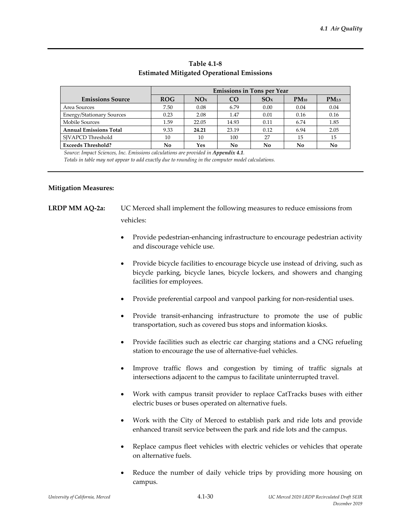## **Table 4.1‐8 Estimated Mitigated Operational Emissions**

|                                  | <b>Emissions in Tons per Year</b> |       |           |      |           |                   |  |
|----------------------------------|-----------------------------------|-------|-----------|------|-----------|-------------------|--|
| <b>Emissions Source</b>          | <b>ROG</b>                        | NOx   | <b>CO</b> | SOx  | $PM_{10}$ | PM <sub>2.5</sub> |  |
| Area Sources                     | 7.50                              | 0.08  | 6.79      | 0.00 | 0.04      | 0.04              |  |
| <b>Energy/Stationary Sources</b> | 0.23                              | 2.08  | 1.47      | 0.01 | 0.16      | 0.16              |  |
| Mobile Sources                   | 1.59                              | 22.05 | 14.93     | 0.11 | 6.74      | 1.85              |  |
| <b>Annual Emissions Total</b>    | 9.33                              | 24.21 | 23.19     | 0.12 | 6.94      | 2.05              |  |
| SIVAPCD Threshold                | 10                                | 10    | 100       | 27   | 15        | 15                |  |
| <b>Exceeds Threshold?</b>        | No                                | Yes   | No        | No   | No        | No                |  |

*Source: Impact Sciences, Inc. Emissions calculations are provided in Appendix 4.1.*

*Totals in table may not appear to add exactly due to rounding in the computer model calculations.*

#### **Mitigation Measures:**

- **LRDP MM AQ‐2a:** UC Merced shall implement the following measures to reduce emissions from vehicles:
	- Provide pedestrian‐enhancing infrastructure to encourage pedestrian activity and discourage vehicle use.
	- Provide bicycle facilities to encourage bicycle use instead of driving, such as bicycle parking, bicycle lanes, bicycle lockers, and showers and changing facilities for employees.
	- Provide preferential carpool and vanpool parking for non‐residential uses.
	- Provide transit-enhancing infrastructure to promote the use of public transportation, such as covered bus stops and information kiosks.
	- Provide facilities such as electric car charging stations and a CNG refueling station to encourage the use of alternative-fuel vehicles.
	- Improve traffic flows and congestion by timing of traffic signals at intersections adjacent to the campus to facilitate uninterrupted travel.
	- Work with campus transit provider to replace CatTracks buses with either electric buses or buses operated on alternative fuels.
	- Work with the City of Merced to establish park and ride lots and provide enhanced transit service between the park and ride lots and the campus.
	- Replace campus fleet vehicles with electric vehicles or vehicles that operate on alternative fuels.
	- Reduce the number of daily vehicle trips by providing more housing on campus.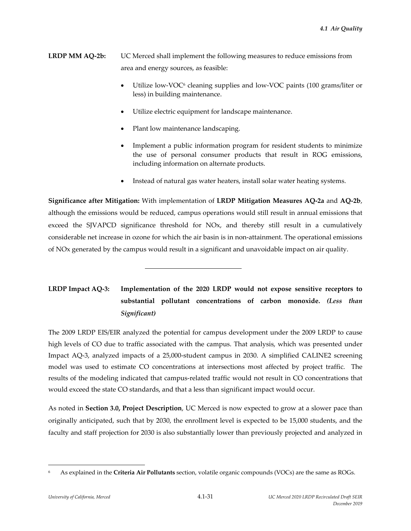- **LRDP MM AQ‐2b:** UC Merced shall implement the following measures to reduce emissions from area and energy sources, as feasible:
	- Utilize low-VOC<sup>6</sup> cleaning supplies and low-VOC paints (100 grams/liter or less) in building maintenance.
	- Utilize electric equipment for landscape maintenance.
	- Plant low maintenance landscaping.

l

- Implement a public information program for resident students to minimize the use of personal consumer products that result in ROG emissions, including information on alternate products.
- Instead of natural gas water heaters, install solar water heating systems.

**Significance after Mitigation:** With implementation of **LRDP Mitigation Measures AQ‐2a** and **AQ‐2b**, although the emissions would be reduced, campus operations would still result in annual emissions that exceed the SJVAPCD significance threshold for NOx, and thereby still result in a cumulatively considerable net increase in ozone for which the air basin is in non‐attainment. The operational emissions of NOx generated by the campus would result in a significant and unavoidable impact on air quality.

# **LRDP Impact AQ‐3: Implementation of the 2020 LRDP would not expose sensitive receptors to substantial pollutant concentrations of carbon monoxide.** *(Less than Significant)*

The 2009 LRDP EIS/EIR analyzed the potential for campus development under the 2009 LRDP to cause high levels of CO due to traffic associated with the campus. That analysis, which was presented under Impact AQ‐3, analyzed impacts of a 25,000‐student campus in 2030. A simplified CALINE2 screening model was used to estimate CO concentrations at intersections most affected by project traffic. The results of the modeling indicated that campus‐related traffic would not result in CO concentrations that would exceed the state CO standards, and that a less than significant impact would occur.

As noted in **Section 3.0, Project Description**, UC Merced is now expected to grow at a slower pace than originally anticipated, such that by 2030, the enrollment level is expected to be 15,000 students, and the faculty and staff projection for 2030 is also substantially lower than previously projected and analyzed in

<sup>6</sup> As explained in the **Criteria Air Pollutants** section, volatile organic compounds (VOCs) are the same as ROGs.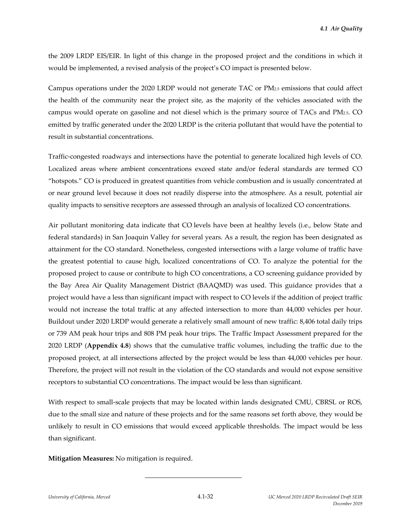the 2009 LRDP EIS/EIR. In light of this change in the proposed project and the conditions in which it would be implemented, a revised analysis of the project's CO impact is presented below.

Campus operations under the 2020 LRDP would not generate TAC or PM2.5 emissions that could affect the health of the community near the project site, as the majority of the vehicles associated with the campus would operate on gasoline and not diesel which is the primary source of TACs and PM2.5. CO emitted by traffic generated under the 2020 LRDP is the criteria pollutant that would have the potential to result in substantial concentrations.

Traffic‐congested roadways and intersections have the potential to generate localized high levels of CO. Localized areas where ambient concentrations exceed state and/or federal standards are termed CO "hotspots." CO is produced in greatest quantities from vehicle combustion and is usually concentrated at or near ground level because it does not readily disperse into the atmosphere. As a result, potential air quality impacts to sensitive receptors are assessed through an analysis of localized CO concentrations.

Air pollutant monitoring data indicate that CO levels have been at healthy levels (i.e., below State and federal standards) in San Joaquin Valley for several years. As a result, the region has been designated as attainment for the CO standard. Nonetheless, congested intersections with a large volume of traffic have the greatest potential to cause high, localized concentrations of CO. To analyze the potential for the proposed project to cause or contribute to high CO concentrations, a CO screening guidance provided by the Bay Area Air Quality Management District (BAAQMD) was used. This guidance provides that a project would have a less than significant impact with respect to CO levels if the addition of project traffic would not increase the total traffic at any affected intersection to more than 44,000 vehicles per hour. Buildout under 2020 LRDP would generate a relatively small amount of new traffic: 8,406 total daily trips or 739 AM peak hour trips and 808 PM peak hour trips. The Traffic Impact Assessment prepared for the 2020 LRDP (**Appendix 4.8**) shows that the cumulative traffic volumes, including the traffic due to the proposed project, at all intersections affected by the project would be less than 44,000 vehicles per hour. Therefore, the project will not result in the violation of the CO standards and would not expose sensitive receptors to substantial CO concentrations. The impact would be less than significant.

With respect to small-scale projects that may be located within lands designated CMU, CBRSL or ROS, due to the small size and nature of these projects and for the same reasons set forth above, they would be unlikely to result in CO emissions that would exceed applicable thresholds. The impact would be less than significant.

**Mitigation Measures:** No mitigation is required.

 $\overline{a}$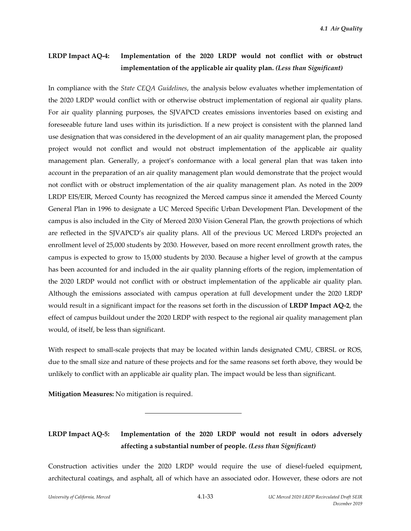# **LRDP Impact AQ‐4: Implementation of the 2020 LRDP would not conflict with or obstruct implementation of the applicable air quality plan.** *(Less than Significant)*

In compliance with the *State CEQA Guidelines*, the analysis below evaluates whether implementation of the 2020 LRDP would conflict with or otherwise obstruct implementation of regional air quality plans. For air quality planning purposes, the SJVAPCD creates emissions inventories based on existing and foreseeable future land uses within its jurisdiction. If a new project is consistent with the planned land use designation that was considered in the development of an air quality management plan, the proposed project would not conflict and would not obstruct implementation of the applicable air quality management plan. Generally, a project's conformance with a local general plan that was taken into account in the preparation of an air quality management plan would demonstrate that the project would not conflict with or obstruct implementation of the air quality management plan. As noted in the 2009 LRDP EIS/EIR, Merced County has recognized the Merced campus since it amended the Merced County General Plan in 1996 to designate a UC Merced Specific Urban Development Plan. Development of the campus is also included in the City of Merced 2030 Vision General Plan, the growth projections of which are reflected in the SJVAPCD's air quality plans. All of the previous UC Merced LRDPs projected an enrollment level of 25,000 students by 2030. However, based on more recent enrollment growth rates, the campus is expected to grow to 15,000 students by 2030. Because a higher level of growth at the campus has been accounted for and included in the air quality planning efforts of the region, implementation of the 2020 LRDP would not conflict with or obstruct implementation of the applicable air quality plan. Although the emissions associated with campus operation at full development under the 2020 LRDP would result in a significant impact for the reasons set forth in the discussion of **LRDP Impact AQ‐2**, the effect of campus buildout under the 2020 LRDP with respect to the regional air quality management plan would, of itself, be less than significant.

With respect to small-scale projects that may be located within lands designated CMU, CBRSL or ROS, due to the small size and nature of these projects and for the same reasons set forth above, they would be unlikely to conflict with an applicable air quality plan. The impact would be less than significant.

**Mitigation Measures:** No mitigation is required.

 $\overline{a}$ 

# **LRDP Impact AQ‐5: Implementation of the 2020 LRDP would not result in odors adversely affecting a substantial number of people.** *(Less than Significant)*

Construction activities under the 2020 LRDP would require the use of diesel-fueled equipment, architectural coatings, and asphalt, all of which have an associated odor. However, these odors are not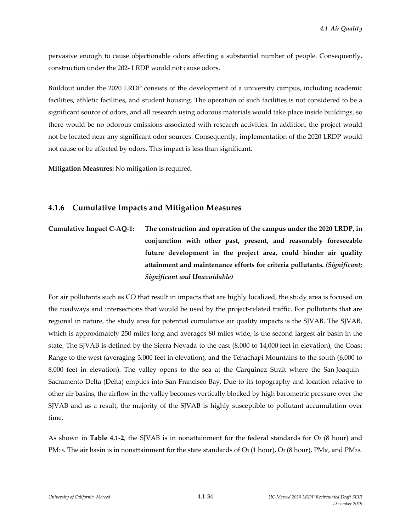pervasive enough to cause objectionable odors affecting a substantial number of people. Consequently, construction under the 202‐ LRDP would not cause odors.

Buildout under the 2020 LRDP consists of the development of a university campus, including academic facilities, athletic facilities, and student housing. The operation of such facilities is not considered to be a significant source of odors, and all research using odorous materials would take place inside buildings, so there would be no odorous emissions associated with research activities. In addition, the project would not be located near any significant odor sources. Consequently, implementation of the 2020 LRDP would not cause or be affected by odors. This impact is less than significant.

**Mitigation Measures:** No mitigation is required.

## **4.1.6 Cumulative Impacts and Mitigation Measures**

 $\overline{a}$ 

Cumulative Impact C-AQ-1: The construction and operation of the campus under the 2020 LRDP, in **conjunction with other past, present, and reasonably foreseeable future development in the project area, could hinder air quality attainment and maintenance efforts for criteria pollutants.** *(Significant; Significant and Unavoidable)*

For air pollutants such as CO that result in impacts that are highly localized, the study area is focused on the roadways and intersections that would be used by the project-related traffic. For pollutants that are regional in nature, the study area for potential cumulative air quality impacts is the SJVAB. The SJVAB, which is approximately 250 miles long and averages 80 miles wide, is the second largest air basin in the state. The SJVAB is defined by the Sierra Nevada to the east (8,000 to 14,000 feet in elevation), the Coast Range to the west (averaging 3,000 feet in elevation), and the Tehachapi Mountains to the south (6,000 to 8,000 feet in elevation). The valley opens to the sea at the Carquinez Strait where the San Joaquin– Sacramento Delta (Delta) empties into San Francisco Bay. Due to its topography and location relative to other air basins, the airflow in the valley becomes vertically blocked by high barometric pressure over the SJVAB and as a result, the majority of the SJVAB is highly susceptible to pollutant accumulation over time.

As shown in **Table 4.1‐2**, the SJVAB is in nonattainment for the federal standards for O3 (8 hour) and PM<sub>2.5</sub>. The air basin is in nonattainment for the state standards of  $O_3$  (1 hour),  $O_3$  (8 hour), PM<sub>10</sub>, and PM<sub>2.5</sub>.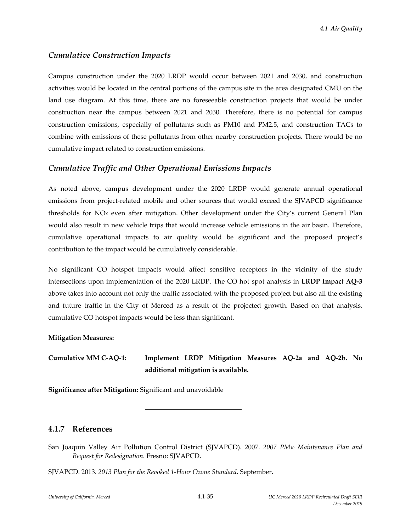## *Cumulative Construction Impacts*

Campus construction under the 2020 LRDP would occur between 2021 and 2030, and construction activities would be located in the central portions of the campus site in the area designated CMU on the land use diagram. At this time, there are no foreseeable construction projects that would be under construction near the campus between 2021 and 2030. Therefore, there is no potential for campus construction emissions, especially of pollutants such as PM10 and PM2.5, and construction TACs to combine with emissions of these pollutants from other nearby construction projects. There would be no cumulative impact related to construction emissions.

### *Cumulative Traffic and Other Operational Emissions Impacts*

As noted above, campus development under the 2020 LRDP would generate annual operational emissions from project-related mobile and other sources that would exceed the SJVAPCD significance thresholds for NOX even after mitigation. Other development under the City's current General Plan would also result in new vehicle trips that would increase vehicle emissions in the air basin. Therefore, cumulative operational impacts to air quality would be significant and the proposed project's contribution to the impact would be cumulatively considerable.

No significant CO hotspot impacts would affect sensitive receptors in the vicinity of the study intersections upon implementation of the 2020 LRDP. The CO hot spot analysis in **LRDP Impact AQ‐3** above takes into account not only the traffic associated with the proposed project but also all the existing and future traffic in the City of Merced as a result of the projected growth. Based on that analysis, cumulative CO hotspot impacts would be less than significant.

#### **Mitigation Measures:**

**Cumulative MM C‐AQ‐1: Implement LRDP Mitigation Measures AQ‐2a and AQ‐2b. No additional mitigation is available.** 

**Significance after Mitigation:** Significant and unavoidable

l

### **4.1.7 References**

San Joaquin Valley Air Pollution Control District (SJVAPCD). 2007. *2007 PM10 Maintenance Plan and Request for Redesignation*. Fresno: SJVAPCD.

SJVAPCD. 2013. *2013 Plan for the Revoked 1‐Hour Ozone Standard*. September.